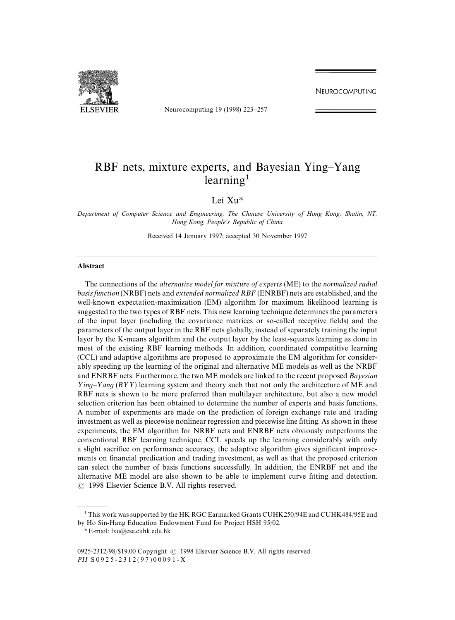

Neurocomputing 19 (1998) 223*—*257

NEUROCOMPUTING

# RBF nets, mixture experts, and Bayesian Ying*—*Yang learning<sup>1</sup>

Lei Xu*\**

*Department of Computer Science and Engineering, The Chinese University of Hong Kong, Shatin, NT, Hong Kong, People*+*s Republic of China*

Received 14 January 1997; accepted 30 November 1997

#### Abstract

The connections of the *alternative model for mixture of experts* (ME) to the *normalized radial basis function* (NRBF) nets and *extended normalized RBF* (ENRBF) nets are established, and the well-known expectation-maximization (EM) algorithm for maximum likelihood learning is suggested to the two types of RBF nets. This new learning technique determines the parameters of the input layer (including the covariance matrices or so-called receptive fields) and the parameters of the output layer in the RBF nets globally, instead of separately training the input layer by the K-means algorithm and the output layer by the least-squares learning as done in most of the existing RBF learning methods. In addition, coordinated competitive learning (CCL) and adaptive algorithms are proposed to approximate the EM algorithm for considerably speeding up the learning of the original and alternative ME models as well as the NRBF and ENRBF nets. Furthermore, the two ME models are linked to the recent proposed *Bayesian* ½*ing—*½*ang* (*B*½½) learning system and theory such that not only the architecture of ME and RBF nets is shown to be more preferred than multilayer architecture, but also a new model selection criterion has been obtained to determine the number of experts and basis functions. A number of experiments are made on the prediction of foreign exchange rate and trading investment as well as piecewise nonlinear regression and piecewise line fitting. As shown in these experiments, the EM algorithm for NRBF nets and ENRBF nets obviously outperforms the conventional RBF learning technique, CCL speeds up the learning considerably with only a slight sacrifice on performance accuracy, the adaptive algorithm gives significant improvements on financial predication and trading investment, as well as that the proposed criterion can select the number of basis functions successfully. In addition, the ENRBF net and the alternative ME model are also shown to be able to implement curve fitting and detection. ( 1998 Elsevier Science B.V. All rights reserved.

<sup>&</sup>lt;sup>1</sup> This work was supported by the HK RGC Earmarked Grants CUHK250/94E and CUHK484/95E and by Ho Sin-Hang Education Endowment Fund for Project HSH 95/02.

*<sup>\*</sup>*E-mail: lxu@cse.cuhk.edu.hk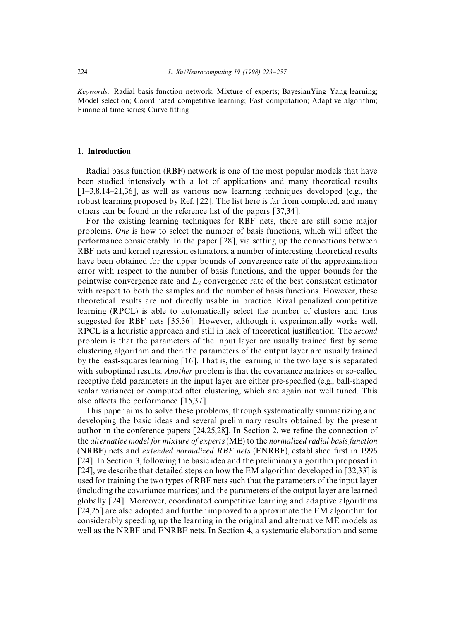*Keywords:* Radial basis function network; Mixture of experts; BayesianYing*—*Yang learning; Model selection; Coordinated competitive learning; Fast computation; Adaptive algorithm; Financial time series; Curve fitting

# 1. Introduction

Radial basis function (RBF) network is one of the most popular models that have been studied intensively with a lot of applications and many theoretical results [1*—*3,8,14*—*21,36], as well as various new learning techniques developed (e.g., the robust learning proposed by Ref. [22]. The list here is far from completed, and many others can be found in the reference list of the papers [37,34].

For the existing learning techniques for RBF nets, there are still some major problems. *One* is how to select the number of basis functions, which will affect the performance considerably. In the paper [28], via setting up the connections between RBF nets and kernel regression estimators, a number of interesting theoretical results have been obtained for the upper bounds of convergence rate of the approximation error with respect to the number of basis functions, and the upper bounds for the pointwise convergence rate and  $L_2$  convergence rate of the best consistent estimator with respect to both the samples and the number of basis functions. However, these theoretical results are not directly usable in practice. Rival penalized competitive learning (RPCL) is able to automatically select the number of clusters and thus suggested for RBF nets [35,36]. However, although it experimentally works well, RPCL is a heuristic approach and still in lack of theoretical justification. The *second* problem is that the parameters of the input layer are usually trained first by some clustering algorithm and then the parameters of the output layer are usually trained by the least-squares learning [16]. That is, the learning in the two layers is separated with suboptimal results. *Another* problem is that the covariance matrices or so-called receptive field parameters in the input layer are either pre-specified (e.g., ball-shaped scalar variance) or computed after clustering, which are again not well tuned. This also affects the performance [15,37].

This paper aims to solve these problems, through systematically summarizing and developing the basic ideas and several preliminary results obtained by the present author in the conference papers [24,25,28]. In Section 2, we refine the connection of the *alternative model for mixture of experts* (ME) to the *normalized radial basis function* (NRBF) nets and *extended normalized RBF nets* (ENRBF), established first in 1996 [24]. In Section 3, following the basic idea and the preliminary algorithm proposed in [24], we describe that detailed steps on how the EM algorithm developed in [32,33] is used for training the two types of RBF nets such that the parameters of the input layer (including the covariance matrices) and the parameters of the output layer are learned globally [24]. Moreover, coordinated competitive learning and adaptive algorithms [24,25] are also adopted and further improved to approximate the EM algorithm for considerably speeding up the learning in the original and alternative ME models as well as the NRBF and ENRBF nets. In Section 4, a systematic elaboration and some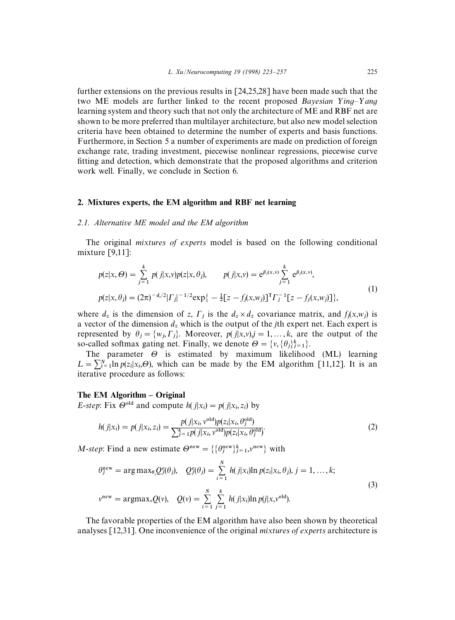further extensions on the previous results in [24,25,28] have been made such that the two ME models are further linked to the recent proposed *Bayesian* ½*ing—*½*ang* learning system and theory such that not only the architecture of ME and RBF net are shown to be more preferred than multilayer architecture, but also new model selection criteria have been obtained to determine the number of experts and basis functions. Furthermore, in Section 5 a number of experiments are made on prediction of foreign exchange rate, trading investment, piecewise nonlinear regressions, piecewise curve fitting and detection, which demonstrate that the proposed algorithms and criterion work well. Finally, we conclude in Section 6.

## 2. Mixtures experts, the EM algorithm and RBF net learning

## *2.1. Alternative ME model and the EM algorithm*

The original *mixtures of experts* model is based on the following conditional mixture  $[9,11]$ :

$$
p(z|x, \Theta) = \sum_{j=1}^{k} p(j|x, v)p(z|x, \theta_j), \qquad p(j|x, v) = e^{\beta_j(x, v)} \sum_{j=1}^{k} e^{\beta_j(x, v)},
$$
  
\n
$$
p(z|x, \theta_j) = (2\pi)^{-d_j/2} |F_j|^{-1/2} \exp\{-\frac{1}{2}[z - f_j(x, w_j)]^T F_j^{-1} [z - f_j(x, w_j)]\},
$$
\n(1)

where  $d_z$  is the dimension of *z*,  $\Gamma_j$  is the  $d_z \times d_z$  covariance matrix, and  $f_j(x, w_j)$  is a vector of the dimension  $d_z$  which is the output of the *j*th expert net. Each expert is represented by  $\theta_j = \{w_j, \Gamma_j\}$ . Moreover,  $p(j|x, v), j = 1, ..., k$ , are the output of the so-called softmax gating net. Finally, we denote  $\Theta = \{v, \{\theta_j\}_{j=1}^k\}.$ 

The parameter  $\Theta$  is estimated by maximum likelihood (ML) learning  $L = \sum_{i=1}^{N} \ln p(z_i | x_i, \theta)$ , which can be made by the EM algorithm [11,12]. It is an iterative procedure as follows:

#### The EM Algorithm **–** Original

*E*-*step*: Fix  $\Theta$ <sup>old</sup> and compute  $h(j|x_i) = p(j|x_i, z_i)$  by

$$
h(j|x_i) = p(j|x_i, z_i) = \frac{p(j|x_i, v^{\text{old}})p(z_i|x_i, \theta_j^{\text{old}})}{\sum_{j=1}^k p(j|x_i, v^{\text{old}})p(z_i|x_i, \theta_j^{\text{old}})}.
$$
\n(2)

*M*-*step*: Find a new estimate  $\Theta^{new} = \{\{\theta_j^{new}\}_{j=1}^k, v^{new}\}\$  with

$$
\theta_j^{\text{new}} = \arg \max_{\theta_j} Q_j^e(\theta_j), \quad Q_j^e(\theta_j) = \sum_{i=1}^N h(j|x_i) \ln p(z_i|x_i, \theta_j), j = 1, ..., k;
$$
  

$$
v^{\text{new}} = \arg \max_{\mathbf{v}} Q(\mathbf{v}), \quad Q(\mathbf{v}) = \sum_{i=1}^N \sum_{j=1}^k h(j|x_i) \ln p(j|x, \mathbf{v}^{\text{old}}).
$$
 (3)

The favorable properties of the EM algorithm have also been shown by theoretical analyses [12,31]. One inconvenience of the original *mixtures of experts* architecture is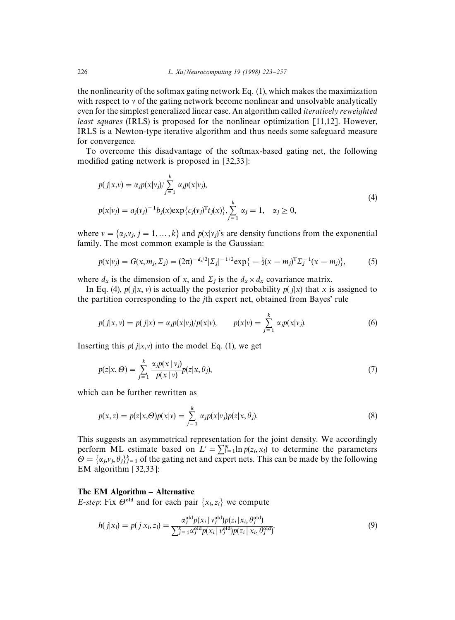the nonlinearity of the softmax gating network Eq. (1), which makes the maximization with respect to  $\nu$  of the gating network become nonlinear and unsolvable analytically even for the simplest generalized linear case. An algorithm called *iteratively reweighted least squares* (IRLS) is proposed for the nonlinear optimization [11,12]. However, IRLS is a Newton-type iterative algorithm and thus needs some safeguard measure for convergence.

To overcome this disadvantage of the softmax-based gating net, the following modified gating network is proposed in [32,33]:

$$
p(j|x,v) = \alpha_j p(x|v_j) / \sum_{j=1}^k \alpha_j p(x|v_j),
$$
  
\n
$$
p(x|v_j) = a_j(v_j)^{-1} b_j(x) \exp\{c_j(v_j)^T t_j(x)\}, \sum_{j=1}^k \alpha_j = 1, \quad \alpha_j \ge 0,
$$
\n(4)

where  $v = {\alpha_j, \gamma_j, j = 1, ..., k}$  and  $p(x|y_j)$ 's are density functions from the exponential family. The most common example is the Gaussian:

$$
p(x|v_j) = G(x, m_j, \Sigma_j) = (2\pi)^{-d_x/2} |\Sigma_j|^{-1/2} \exp\{-\frac{1}{2}(x - m_j)^T \Sigma_j^{-1} (x - m_j)\},
$$
 (5)

where  $d_x$  is the dimension of *x*, and  $\Sigma_j$  is the  $d_x \times d_x$  covariance matrix.

In Eq. (4),  $p(j|x, y)$  is actually the posterior probability  $p(j|x)$  that *x* is assigned to the partition corresponding to the *j*th expert net, obtained from Bayes' rule

$$
p(j|x, v) = p(j|x) = \alpha_j p(x|v_j) / p(x|v), \qquad p(x|v) = \sum_{j=1}^{k} \alpha_j p(x|v_j).
$$
 (6)

Inserting this  $p(j|x,y)$  into the model Eq. (1), we get

$$
p(z|x,\Theta) = \sum_{j=1}^{k} \frac{\alpha_j p(x \mid v_j)}{p(x \mid v)} p(z|x,\theta_j),\tag{7}
$$

which can be further rewritten as

$$
p(x, z) = p(z|x, \Theta)p(x|v) = \sum_{j=1}^{k} \alpha_j p(x|v_j)p(z|x, \theta_j).
$$
\n(8)

This suggests an asymmetrical representation for the joint density. We accordingly perform ML estimate based on  $L' = \sum_{i=1}^{N} \ln p(z_i, x_i)$  to determine the parameters  $\hat{\theta} = {\alpha_j, \nu_j, \theta_j}_{j=1}^k$  of the gating net and expert nets. This can be made by the following EM algorithm [32,33]:

# The EM Algorithm **–** Alternative

*E*-*step*: Fix  $\Theta$ <sup>old</sup> and for each pair  $\{x_i, z_i\}$  we compute

$$
h(j|x_i) = p(j|x_i, z_i) = \frac{\alpha_j^{\text{old}} p(x_i | v_j^{\text{old}}) p(z_i | x_i, \theta_j^{\text{old}})}{\sum_{j=1}^k \alpha_j^{\text{old}} p(x_i | v_j^{\text{old}}) p(z_i | x_i, \theta_j^{\text{old}})}.
$$
(9)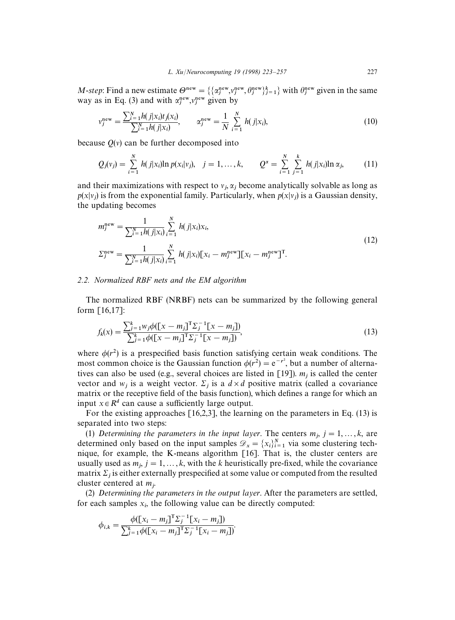*M-step*: Find a new estimate  $\Theta^{new} = \{\{\alpha_j^{new}, v_j^{new}, \theta_j^{new}\}_{j=1}^k\}$  with  $\theta_j^{new}$  given in the same way as in Eq. (3) and with  $\alpha_j^{\text{new}}, v_j^{\text{new}}$  given by

$$
v_j^{\text{new}} = \frac{\sum_{i=1}^{N} h(j|x_i)t_j(x_i)}{\sum_{i=1}^{N} h(j|x_i)}, \qquad \alpha_j^{\text{new}} = \frac{1}{N} \sum_{i=1}^{N} h(j|x_i), \qquad (10)
$$

because  $Q(v)$  can be further decomposed into

$$
Q_j(v_j) = \sum_{i=1}^N h(j|x_i) \ln p(x_i|v_j), \quad j = 1, ..., k, \qquad Q^{\alpha} = \sum_{i=1}^N \sum_{j=1}^k h(j|x_i) \ln \alpha_j, \tag{11}
$$

and their maximizations with respect to  $v_j, \alpha_j$  become analytically solvable as long as  $p(x|v_j)$  is from the exponential family. Particularly, when  $p(x|v_j)$  is a Gaussian density, the updating becomes

$$
m_j^{\text{new}} = \frac{1}{\sum_{i=1}^{N} h(j|x_i)} \sum_{i=1}^{N} h(j|x_i)x_i,
$$
  
\n
$$
\sum_{j}^{\text{new}} = \frac{1}{\sum_{i=1}^{N} h(j|x_i)} \sum_{i=1}^{N} h(j|x_i)[x_i - m_j^{\text{new}}][x_i - m_j^{\text{new}}]^{\text{T}}.
$$
\n(12)

#### *2.2. Normalized RBF nets and the EM algorithm*

The normalized RBF (NRBF) nets can be summarized by the following general form [16,17]:

$$
f_k(x) = \frac{\sum_{j=1}^{k} w_j \phi([\![x-m_j]\!]^T \sum_{j}^{-1} [\![x-m_j]\!])}{\sum_{j=1}^{k} \phi([\![x-m_j]\!]^T \sum_{j}^{-1} [\![x-m_j]\!])},\tag{13}
$$

where  $\phi(r^2)$  is a prespecified basis function satisfying certain weak conditions. The most common choice is the Gaussian function  $\phi(r^2) = e^{-r^2}$ , but a number of alternatives can also be used (e.g., several choices are listed in [19]).  $m_j$  is called the center vector and  $w_j$  is a weight vector.  $\Sigma_j$  is a  $d \times d$  positive matrix (called a covariance matrix or the receptive field of the basis function), which defines a range for which an input  $x \in \mathbb{R}^d$  can cause a sufficiently large output.

For the existing approaches [16,2,3], the learning on the parameters in Eq. (13) is separated into two steps:

(1) *Determining the parameters in the input layer. The centers*  $m_j$ *,*  $j = 1, \ldots, k$ *, are* determined only based on the input samples  $\mathcal{D}_x = \{x_i\}_{i=1}^N$  via some clustering tech- nique, for example, the K-means algorithm [16]. That is, the cluster centers are usually used as  $m_j$ ,  $j = 1, \ldots, k$ , with the *k* heuristically pre-fixed, while the covariance matrix  $\Sigma_j$  is either externally prespecified at some value or computed from the resulted cluster centered at *m*j.

 (2) *Determining the parameters in the output layer*. After the parameters are settled, for each samples  $x_i$ , the following value can be directly computed:

$$
\phi_{i,k} = \frac{\phi([x_i - m_j]^T \Sigma_j^{-1} [x_i - m_j])}{\sum_{j=1}^k \phi([x_i - m_j]^T \Sigma_j^{-1} [x_i - m_j])}.
$$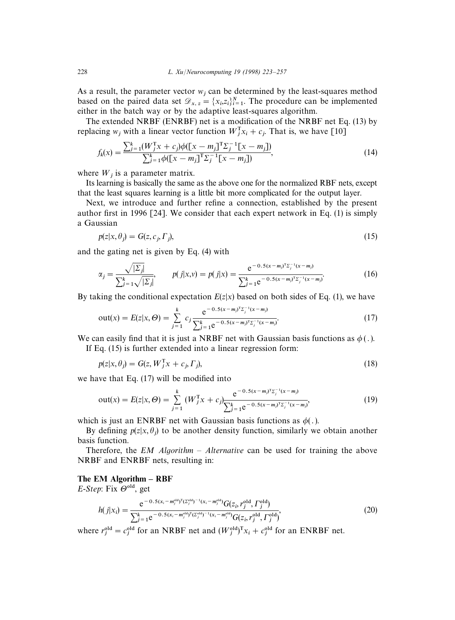As a result, the parameter vector  $w_j$  can be determined by the least-squares method based on the paired data set  $\mathcal{D}_{x, z} = \{x_i, z_i\}_{i=1}^N$ . The procedure can be implemented either in the batch way or by the adaptive least-squares algorithm.

The extended NRBF (ENRBF) net is a modification of the NRBF net Eq. (13) by replacing  $w_j$  with a linear vector function  $W_j^T x_i + c_j$ . That is, we have [10]

$$
f_k(x) = \frac{\sum_{j=1}^k (W_j^{\mathrm{T}} x + c_j) \phi([\![x - m_j]\!]^{\mathrm{T}} \Sigma_j^{-1} [\![x - m_j]\!])}{\sum_{j=1}^k \phi([\![x - m_j]\!]^{\mathrm{T}} \Sigma_j^{-1} [\![x - m_j]\!])},\tag{14}
$$

where  $W_j$  is a parameter matrix.

Its learning is basically the same as the above one for the normalized RBF nets, except that the least squares learning is a little bit more complicated for the output layer.

Next, we introduce and further refine a connection, established by the present author first in 1996 [24]. We consider that each expert network in Eq. (1) is simply a Gaussian

$$
p(z|x, \theta_j) = G(z, c_j, \Gamma_j),\tag{15}
$$

and the gating net is given by Eq. (4) with

$$
\alpha_j = \frac{\sqrt{|\Sigma_j|}}{\sum_{j=1}^k \sqrt{|\Sigma_j|}}, \qquad p(j|x, v) = p(j|x) = \frac{e^{-0.5(x - m_j)^T \Sigma_j^{-1}(x - m_j)}}{\sum_{j=1}^k e^{-0.5(x - m_j)^T \Sigma_j^{-1}(x - m_j)}}.
$$
(16)

By taking the conditional expectation  $E(z|x)$  based on both sides of Eq. (1), we have

$$
out(x) = E(z|x, \Theta) = \sum_{j=1}^{k} c_j \frac{e^{-0.5(x-m_j)^{\mathrm{T}} \Sigma_j^{-1} (x-m_j)}}{\sum_{j=1}^{k} e^{-0.5(x-m_j)^{\mathrm{T}} \Sigma_j^{-1} (x-m_j)}}.
$$
(17)

We can easily find that it is just a NRBF net with Gaussian basis functions as  $\phi(.)$ . If Eq. (15) is further extended into a linear regression form:

$$
p(z|x,\theta_j) = G(z,W_j^{\mathrm{T}}x + c_j,\Gamma_j),\tag{18}
$$

we have that Eq. (17) will be modified into

out(x) = 
$$
E(z|x, \Theta) = \sum_{j=1}^{k} (W_j^{\text{T}} x + c_j \frac{e^{-0.5(x - m_j)^{\text{T}} \Sigma_j^{-1} (x - m_j)}}{\sum_{j=1}^{k} e^{-0.5(x - m_j)^{\text{T}} \Sigma_j^{-1} (x - m_j)}}
$$
 (19)

which is just an ENRBF net with Gaussian basis functions as  $\phi(.)$ .

By defining  $p(z|x, \theta_j)$  to be another density function, similarly we obtain another basis function.

Therefore, the *EM Algorithm — Alternative* can be used for training the above NRBF and ENRBF nets, resulting in:

## The EM Algorithm **–** RBF

*E*-*Step*: Fix  $\Theta$ <sup>old</sup>, get

$$
h(j|x_i) = \frac{e^{-0.5(x_i - m_j^{\text{old}})^T (2_j^{\text{old}})^{-1} (x_i - m_j^{\text{old}})} G(z_i, r_j^{\text{old}}, \Gamma_j^{\text{old}})}{\sum_{j=1}^k e^{-0.5(x_i - m_j^{\text{old}})^T (2_j^{\text{old}})^{-1} (x_i - m_j^{\text{old}})} G(z_i, r_j^{\text{old}}, \Gamma_j^{\text{old}})}.
$$
(20)

where  $r_j^{\text{old}} = c_j^{\text{old}}$  for an NRBF net and  $(W_j^{\text{old}})^T x_i + c_j^{\text{old}}$  for an ENRBF net.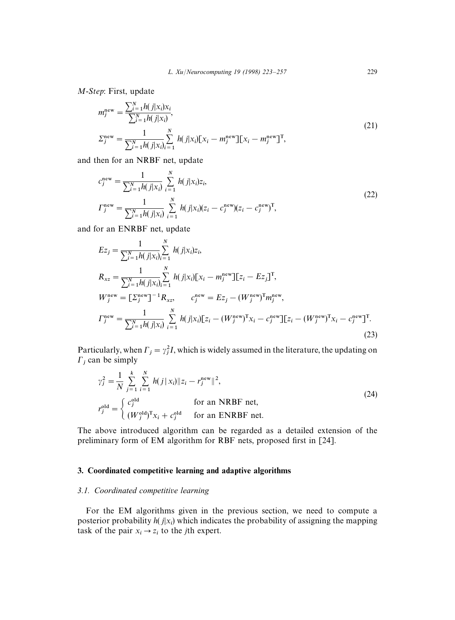*M*-*Step*: First, update

$$
m_j^{\text{new}} = \frac{\sum_{i=1}^{N} h(j|x_i)x_i}{\sum_{i=1}^{N} h(j|x_i)},
$$
  
\n
$$
\sum_{j}^{\text{new}} = \frac{1}{\sum_{i=1}^{N} h(j|x_i)\sum_{i=1}^{N} h(j|x_i)[x_i - m_j^{\text{new}}][x_i - m_j^{\text{new}}]^{\text{T}}},
$$
\n(21)

and then for an NRBF net, update

$$
c_j^{\text{new}} = \frac{1}{\sum_{i=1}^{N} h(j|x_i)} \sum_{i=1}^{N} h(j|x_i) z_i,
$$
  
\n
$$
\Gamma_j^{\text{new}} = \frac{1}{\sum_{i=1}^{N} h(j|x_i)} \sum_{i=1}^{N} h(j|x_i) (z_i - c_j^{\text{new}}) (z_i - c_j^{\text{new}})^{\text{T}},
$$
\n(22)

and for an ENRBF net, update

$$
E_{zj} = \frac{1}{\sum_{i=1}^{N} h(j|x_i) \sum_{i=1}^{N} h(j|x_i) z_i},
$$
  
\n
$$
R_{xz} = \frac{1}{\sum_{i=1}^{N} h(j|x_i) \sum_{i=1}^{N} h(j|x_i) [x_i - m_j^{\text{new}}] [z_i - E_{zj}]^{\text{T}},
$$
  
\n
$$
W_j^{\text{new}} = [\sum_{j}^{\text{new}}]^{-1} R_{xz}, \qquad c_j^{\text{new}} = E_{zj} - (W_j^{\text{new}})^{\text{T}} m_j^{\text{new}},
$$
  
\n
$$
\Gamma_j^{\text{new}} = \frac{1}{\sum_{i=1}^{N} h(j|x_i)} \sum_{i=1}^{N} h(j|x_i) [z_i - (W_j^{\text{new}})^{\text{T}} x_i - c_j^{\text{new}}] [z_i - (W_j^{\text{new}})^{\text{T}} x_i - c_j^{\text{new}}]^{\text{T}}.
$$
\n(23)

Particularly, when  $\Gamma_j = \gamma_j^2 I$ , which is widely assumed in the literature, the updating on  $\Gamma_j$  can be simply

$$
\gamma_j^2 = \frac{1}{N} \sum_{j=1}^k \sum_{i=1}^N h(j|x_i) \|z_i - r_j^{\text{new}}\|^2,
$$
  
\n
$$
r_j^{\text{old}} = \begin{cases} c_j^{\text{old}} & \text{for an NRBF net,} \\ (W_j^{\text{old}})^{\text{T}} x_i + c_j^{\text{old}} & \text{for an ENRBF net.} \end{cases}
$$
\n(24)

The above introduced algorithm can be regarded as a detailed extension of the preliminary form of EM algorithm for RBF nets, proposed first in [24].

# 3. Coordinated competitive learning and adaptive algorithms

# *3.1. Coordinated competitive learning*

For the EM algorithms given in the previous section, we need to compute a posterior probability  $h(j|x_i)$  which indicates the probability of assigning the mapping task of the pair  $x_i \rightarrow z_i$  to the *j*th expert.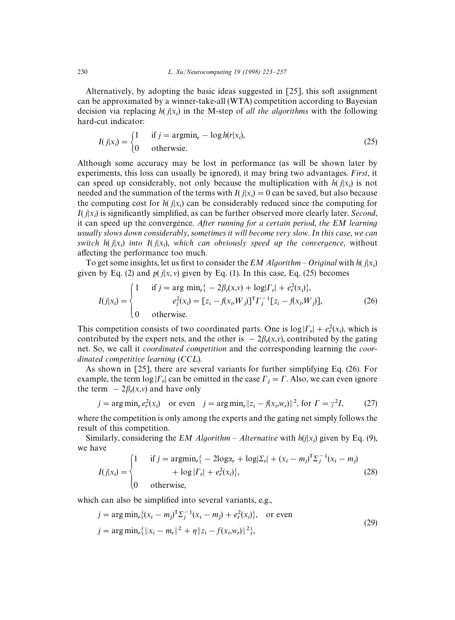Alternatively, by adopting the basic ideas suggested in [25], this soft assignment can be approximated by a winner-take-all (WTA) competition according to Bayesian decision via replacing  $h(j|x_i)$  in the M-step of *all the algorithms* with the following hard-cut indicator:

$$
I(j|x_i) = \begin{cases} 1 & \text{if } j = \text{argmin}_r - \log h(r|x_i), \\ 0 & \text{otherwise.} \end{cases}
$$
 (25)

Although some accuracy may be lost in performance (as will be shown later by experiments, this loss can usually be ignored), it may bring two advantages. *First*, it can speed up considerably, not only because the multiplication with  $h(j|x_i)$  is not needed and the summation of the terms with  $I(j|x_i) = 0$  can be saved, but also because the computing cost for  $h(j|x_i)$  can be considerably reduced since the computing for  $I(j|x_i)$  is significantly simplified, as can be further observed more clearly later. *Second*, it can speed up the convergence. *After running for a certain period*, *the EM learning usually slows down considerably*, *sometimes it will become very slow*. *In this case*, *we can switch h*( $j|x_i$ ) *into I*( $j|x_i$ ), *which can obviously speed up the convergence*, without affecting the performance too much.

To get some insights, let us first to consider the *EM Algorithm – Original* with  $h(j|x_i)$ given by Eq. (2) and  $p(j|x, y)$  given by Eq. (1). In this case, Eq. (25) becomes

$$
I(j|x_i) = \begin{cases} 1 & \text{if } j = \arg \min_r \{ -2\beta_r(x, y) + \log|\Gamma_r| + e_r^2(x_i) \}, \\ & e_j^2(x_i) = [z_i - f(x_i, W_j)]^T \Gamma_j^{-1} [z_i - f(x_i, W_j)], \\ 0 & \text{otherwise.} \end{cases}
$$
(26)

This competition consists of two coordinated parts. One is  $log |\Gamma_r| + e_r^2(x_i)$ , which is contributed by the expert nets, and the other is  $-2\beta_r(x,y)$ , contributed by the gating net. So, we call it *coordinated competition* and the corresponding learning the *coordinated competitive learning* (*CCL*).

As shown in [25], there are several variants for further simplifying Eq. (26). For example, the term  $\log |\Gamma_r|$  can be omitted in the case  $\Gamma_j = \Gamma$ . Also, we can even ignore the term  $-2\beta_r(x,v)$  and have only

$$
j = \arg\min_{r} e_r^2(x_i) \quad \text{or even} \quad j = \arg\min_{r} ||z_i - f(x_i, w_r)||^2, \text{ for } \Gamma = \gamma^2 I,\tag{27}
$$

where the competition is only among the experts and the gating net simply follows the result of this competition.

Similarly, considering the *EM Algorithm – Alternative* with  $h(j|x_i)$  given by Eq. (9), we have

$$
I(j|x_i) = \begin{cases} 1 & \text{if } j = \operatorname{argmin}_r \{ -2\log x_r + \log|\Sigma_r| + (x_i - m_j)^T \Sigma_j^{-1} (x_i - m_j) \\ & + \log |F_r| + e_r^2(x_i) \}, \\ 0 & \text{otherwise,} \end{cases} \tag{28}
$$

which can also be simplified into several variants, e.g.,

$$
j = \arg \min_{r} \{ (x_i - m_j)^{\mathrm{T}} \Sigma_j^{-1} (x_i - m_j) + e_r^2(x_i) \}, \text{ or even}
$$
  
\n
$$
j = \arg \min_{r} \{ \|x_i - m_r\|^2 + \eta \|z_i - f(x_i, w_r)\|^2 \},
$$
\n(29)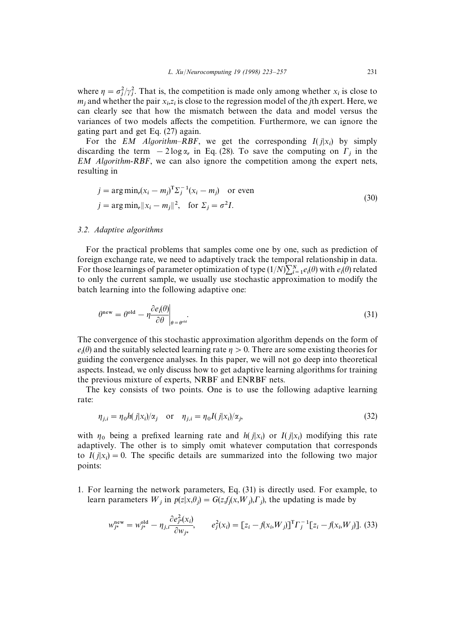where  $\eta = \sigma_j^2 / \gamma_j^2$ . That is, the competition is made only among whether *x<sub>i</sub>* is close to  $m_j$  and whether the pair  $x_i$ , $z_i$  is close to the regression model of the *j*th expert. Here, we can clearly see that how the mismatch between the data and model versus the variances of two models affects the competition. Furthermore, we can ignore the gating part and get Eq. (27) again.

For the *EM Algorithm–RBF*, we get the corresponding  $I(j|x_i)$  by simply discarding the term  $-2\log \alpha_r$  in Eq. (28). To save the computing on  $\Gamma_j$  in the *EM Algorithm*-*RBF*, we can also ignore the competition among the expert nets, resulting in

$$
j = \arg \min_{r} (x_i - m_j)^{\mathrm{T}} \Sigma_j^{-1} (x_i - m_j) \quad \text{or even}
$$
  
\n
$$
j = \arg \min_{r} ||x_i - m_j||^2, \quad \text{for } \Sigma_j = \sigma^2 I.
$$
\n(30)

#### *3.2. Adaptive algorithms*

For the practical problems that samples come one by one, such as prediction of foreign exchange rate, we need to adaptively track the temporal relationship in data. For those learnings of parameter optimization of type  $(1/N)\sum_{i=1}^{N}e_i(\theta)$  with  $e_i(\theta)$  related to only the current sample, we usually use stochastic approximation to modify the batch learning into the following adaptive one:

$$
\theta^{\text{new}} = \theta^{\text{old}} - \eta \frac{\partial e_i(\theta)}{\partial \theta} \bigg|_{\theta = \theta^{\text{old}}}.
$$
\n(31)

The convergence of this stochastic approximation algorithm depends on the form of  $e_i(\theta)$  and the suitably selected learning rate  $\eta > 0$ . There are some existing theories for guiding the convergence analyses. In this paper, we will not go deep into theoretical aspects. Instead, we only discuss how to get adaptive learning algorithms for training the previous mixture of experts, NRBF and ENRBF nets.

The key consists of two points. One is to use the following adaptive learning rate:

$$
\eta_{j,i} = \eta_0 h(j|x_i)/\alpha_j \quad \text{or} \quad \eta_{j,i} = \eta_0 I(j|x_i)/\alpha_j,\tag{32}
$$

with  $\eta_0$  being a prefixed learning rate and  $h(j|x_i)$  or  $I(j|x_i)$  modifying this rate adaptively. The other is to simply omit whatever computation that corresponds to  $I(j|x_i) = 0$ . The specific details are summarized into the following two major points:

1. For learning the network parameters, Eq. (31) is directly used. For example, to learn parameters  $W_j$  in  $p(z|x, \theta_j) = G(z, f_j(x, W_j), \Gamma_j)$ , the updating is made by

$$
w_{j^*}^{\text{new}} = w_{j^*}^{\text{old}} - \eta_{j,i} \frac{\partial e_{j^*}^2(x_i)}{\partial w_{j^*}}, \qquad e_j^2(x_i) = [z_i - f(x_i, W_j)]^T \Gamma_j^{-1} [z_i - f(x_i, W_j)].
$$
 (33)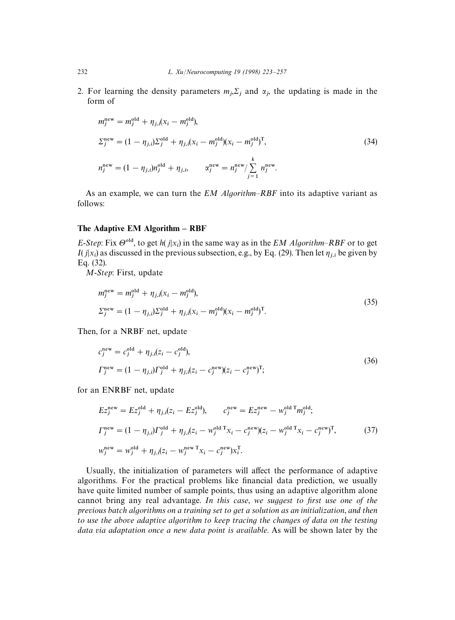2. For learning the density parameters  $m_j \Sigma_j$  and  $\alpha_j$ , the updating is made in the form of

$$
m_j^{\text{new}} = m_j^{\text{old}} + \eta_{j,i}(x_i - m_j^{\text{old}}),
$$
  
\n
$$
\Sigma_j^{\text{new}} = (1 - \eta_{j,i})\Sigma_j^{\text{old}} + \eta_{j,i}(x_i - m_j^{\text{old}})(x_i - m_j^{\text{old}})^{\text{T}},
$$
  
\n
$$
n_j^{\text{new}} = (1 - \eta_{j,i})n_j^{\text{old}} + \eta_{j,i}, \qquad \alpha_j^{\text{new}} = n_j^{\text{new}} / \sum_{j=1}^k n_j^{\text{new}}.
$$
\n(34)

As an example, we can turn the *EM Algorithm—RBF* into its adaptive variant as follows:

# The Adaptive EM Algorithm **–** RBF

*E*-*Step*: Fix  $\Theta$ <sup>old</sup>, to get *h*( $j|x_i$ ) in the same way as in the *EM Algorithm–RBF* or to get  $I(j|x_i)$  as discussed in the previous subsection, e.g., by Eq. (29). Then let  $\eta_{j,i}$  be given by Eq. (32).

*M*-*Step*: First, update

$$
m_j^{\text{new}} = m_j^{\text{old}} + \eta_{j,i}(x_i - m_j^{\text{old}}),
$$
  
\n
$$
\Sigma_j^{\text{new}} = (1 - \eta_{j,i})\Sigma_j^{\text{old}} + \eta_{j,i}(x_i - m_j^{\text{old}})(x_i - m_j^{\text{old}})^{\text{T}}.
$$
\n(35)

Then, for a NRBF net, update

$$
c_j^{\text{new}} = c_j^{\text{old}} + \eta_{j,i}(z_i - c_j^{\text{old}}),
$$
  
\n
$$
\Gamma_j^{\text{new}} = (1 - \eta_{j,i})\Gamma_j^{\text{old}} + \eta_{j,i}(z_i - c_j^{\text{new}})(z_i - c_j^{\text{new}})^{\text{T}};
$$
\n(36)

for an ENRBF net, update

$$
E z_j^{\text{new}} = E z_j^{\text{old}} + \eta_{j,i} (z_i - E z_j^{\text{old}}), \qquad c_j^{\text{new}} = E z_j^{\text{new}} - w_j^{\text{old}} \Upsilon m_j^{\text{old}},
$$
  

$$
\Gamma_j^{\text{new}} = (1 - \eta_{j,i}) \Gamma_j^{\text{old}} + \eta_{j,i} (z_i - w_j^{\text{old}} \Upsilon x_i - c_j^{\text{new}}) (z_i - w_j^{\text{old}} \Upsilon x_i - c_j^{\text{new}})^{\text{T}},
$$
  

$$
w_j^{\text{new}} = w_j^{\text{old}} + \eta_{j,i} (z_i - w_j^{\text{new}} \Upsilon x_i - c_j^{\text{new}}) x_i^{\text{T}}.
$$
 (37)

Usually, the initialization of parameters will affect the performance of adaptive algorithms. For the practical problems like financial data prediction, we usually have quite limited number of sample points, thus using an adaptive algorithm alone cannot bring any real advantage. *In this case*, *we suggest to first use one of the previous batch algorithms on a training set to get a solution as an initialization*, *and then to use the above adaptive algorithm to keep tracing the changes of data on the testing data via adaptation once a new data point is available*. As will be shown later by the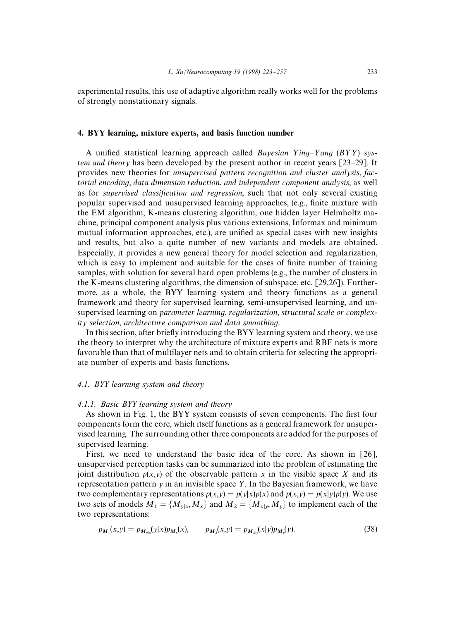experimental results, this use of adaptive algorithm really works well for the problems of strongly nonstationary signals.

#### 4. BYY learning, mixture experts, and basis function number

A unified statistical learning approach called *Bayesian* ½*ing—*½*ang* (*B*½½) *system and theory* has been developed by the present author in recent years [23*—*29]. It provides new theories for *unsupervised pattern recognition and cluster analysis*, *factorial encoding*, *data dimension reduction*, *and independent component analysis*, as well as for *supervised classification and regression*, such that not only several existing popular supervised and unsupervised learning approaches, (e.g., finite mixture with the EM algorithm, K-means clustering algorithm, one hidden layer Helmholtz machine, principal component analysis plus various extensions, Informax and minimum mutual information approaches, etc.), are unified as special cases with new insights and results, but also a quite number of new variants and models are obtained. Especially, it provides a new general theory for model selection and regularization, which is easy to implement and suitable for the cases of finite number of training samples, with solution for several hard open problems (e.g., the number of clusters in the K-means clustering algorithms, the dimension of subspace, etc. [29,26]). Furthermore, as a whole, the BYY learning system and theory functions as a general framework and theory for supervised learning, semi-unsupervised learning, and unsupervised learning on *parameter learning*, *regularization*, *structural scale or complexity selection*, *architecture comparison and data smoothing*.

In this section, after briefly introducing the BYY learning system and theory, we use the theory to interpret why the architecture of mixture experts and RBF nets is more favorable than that of multilayer nets and to obtain criteria for selecting the appropriate number of experts and basis functions.

#### *4.1. BYY learning system and theory*

#### *4.1.1. Basic BYY learning system and theory*

As shown in Fig. 1, the BYY system consists of seven components. The first four components form the core, which itself functions as a general framework for unsupervised learning. The surrounding other three components are added for the purposes of supervised learning.

First, we need to understand the basic idea of the core. As shown in [26], unsupervised perception tasks can be summarized into the problem of estimating the joint distribution  $p(x,y)$  of the observable pattern x in the visible space X and its representation pattern *y* in an invisible space ½. In the Bayesian framework, we have two complementary representations  $p(x, y) = p(y|x)p(x)$  and  $p(x, y) = p(x|y)p(y)$ . We use two sets of models  $M_1 = \{M_{y|x}, M_x\}$  and  $M_2 = \{M_{x|y}, M_y\}$  to implement each of the two representations:

$$
p_{M_1}(x,y) = p_{M_{y|x}}(y|x)p_{M_x}(x), \qquad p_{M_2}(x,y) = p_{M_{x|y}}(x|y)p_{M_y}(y). \tag{38}
$$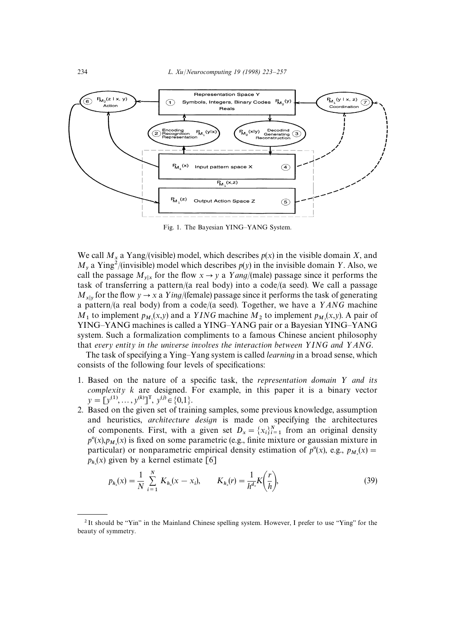

Fig. 1. The Bayesian YING*—*YANG System.

We call  $M_x$  a Yang/(visible) model, which describes  $p(x)$  in the visible domain *X*, and  $M_y$  a Ying<sup>2</sup>/(invisible) model which describes  $p(y)$  in the invisible domain Y. Also, we call the passage  $M_{v|x}$  for the flow  $x \rightarrow y$  a  $Yang/(male)$  passage since it performs the task of transferring a pattern/(a real body) into a code/(a seed). We call a passage  $M_{x|y}$  for the flow  $y \rightarrow x$  a *Ying*/(female) passage since it performs the task of generating a pattern/(a real body) from a code/(a seed). Together, we have a ½*ANG* machine  $M_1$  to implement  $p_{M_1}(x, y)$  and a *YING* machine  $M_2$  to implement  $p_{M_2}(x, y)$ . A pair of YING*—*YANG machines is called a YING*—*YANG pair or a Bayesian YING*—*YANG system. Such a formalization compliments to a famous Chinese ancient philosophy that *every entity in the universe involves the interaction between* ½*ING and* ½*ANG*.

The task of specifying a Ying*—*Yang system is called *learning* in a broad sense, which consists of the following four levels of specifications:

- 1. Based on the nature of a specific task, the *representation domain* ½ *and its complexity k* are designed. For example, in this paper it is a binary vector  $y = [y^{(1)}, \ldots, y^{(k)}]^{T}, y^{(j)} \in \{0,1\}.$
- 2. Based on the given set of training samples, some previous knowledge, assumption and heuristics, *architecture design* is made on specifying the architectures of components. First, with a given set  $D_x = \{x_i\}_{i=1}^N$  from an original density  $p^{\circ}(x), p_{M_x}(x)$  is fixed on some parametric (e.g., finite mixture or gaussian mixture in particular) or nonparametric empirical density estimation of  $p^{\circ}(x)$ , e.g.,  $p_{M_x}(x) =$  $p_{h_x}(x)$  given by a kernel estimate [6]

$$
p_{h_x}(x) = \frac{1}{N} \sum_{i=1}^{N} K_{h_x}(x - x_i), \qquad K_{h_x}(r) = \frac{1}{h^{d_x}} K\left(\frac{r}{h}\right), \tag{39}
$$

<sup>2</sup> It should be "Yin" in the Mainland Chinese spelling system. However, I prefer to use "Ying" for the beauty of symmetry.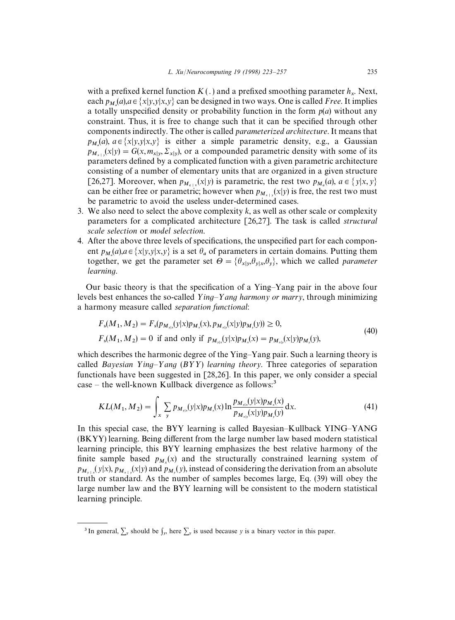with a prefixed kernel function  $K(.)$  and a prefixed smoothing parameter  $h_x$ . Next, each  $p_{M_a}(a), a \in \{x|y, y|x, y\}$  can be designed in two ways. One is called *Free*. It implies a totally unspecified density or probability function in the form *p*(*a*) without any constraint. Thus, it is free to change such that it can be specified through other components indirectly. The other is called *parameterized architecture*. It means that  $p_{M_a}(a)$ ,  $a \in \{x|y, y|x, y\}$  is either a simple parametric density, e.g., a Gaussian  $p_{M_{x+y}}(x|y) = G(x, m_{x|y}, \Sigma_{x|y})$ , or a compounded parametric density with some of its parameters defined by a complicated function with a given parametric architecture consisting of a number of elementary units that are organized in a given structure [26,27]. Moreover, when  $p_{M_{e|v}}(x|y)$  is parametric, the rest two  $p_{M_a}(a)$ ,  $a \in \{y|x, y\}$ can be either free or parametric; however when  $p_{M_{x,y}}(x|y)$  is free, the rest two must be parametric to avoid the useless under-determined cases.

- 3. We also need to select the above complexity  $k$ , as well as other scale or complexity parameters for a complicated architecture [26,27]. The task is called *structural scale selection* or *model selection*.
- 4. After the above three levels of specifications, the unspecified part for each component  $p_{M_a}(a), a \in \{x|y, y|x, y\}$  is a set  $\theta_a$  of parameters in certain domains. Putting them together, we get the parameter set  $\Theta = {\theta_{x|y}, \theta_{y|x}, \theta_y}$ , which we called *parameter learning*.

Our basic theory is that the specification of a Ying*—*Yang pair in the above four levels best enhances the so-called ½*ing—*½*ang harmony or marry*, through minimizing a harmony measure called *separation functional*:

$$
F_s(M_1, M_2) = F_s(p_{M_{y|x}}(y|x)p_{M_x}(x), p_{M_{x|y}}(x|y)p_{M_y}(y)) \ge 0,
$$
  
\n
$$
F_s(M_1, M_2) = 0 \text{ if and only if } p_{M_{y|x}}(y|x)p_{M_x}(x) = p_{M_{x|y}}(x|y)p_{M_y}(y),
$$
\n(40)

which describes the harmonic degree of the Ying*—*Yang pair. Such a learning theory is called *Bayesian* ½*ing—*½*ang* (*B*½½) *learning theory*. Three categories of separation functionals have been suggested in [28,26]. In this paper, we only consider a special case – the well-known Kullback divergence as follows:<sup>3</sup>

$$
KL(M_1, M_2) = \int_{x} \sum_{y} p_{M_{y|x}}(y|x) p_{M_x}(x) \ln \frac{p_{M_{y|x}}(y|x) p_{M_x}(x)}{p_{M_{x|y}}(x|y) p_{M_y}(y)} dx.
$$
 (41)

In this special case, the BYY learning is called Bayesian*—*Kullback YING*—*YANG (BKYY) learning. Being different from the large number law based modern statistical learning principle, this BYY learning emphasizes the best relative harmony of the finite sample based  $p_{M_x}(x)$  and the structurally constrained learning system of  $p_{M_{y|x}}(y|x), p_{M_{x|y}}(x|y)$  and  $p_{M_y}(y)$ , instead of considering the derivation from an absolute truth or standard. As the number of samples becomes large, Eq. (39) will obey the large number law and the BYY learning will be consistent to the modern statistical learning principle.

<sup>&</sup>lt;sup>3</sup> In general,  $\sum_{y}$  should be  $\int_{y}$ , here  $\sum_{y}$  is used because *y* is a binary vector in this paper.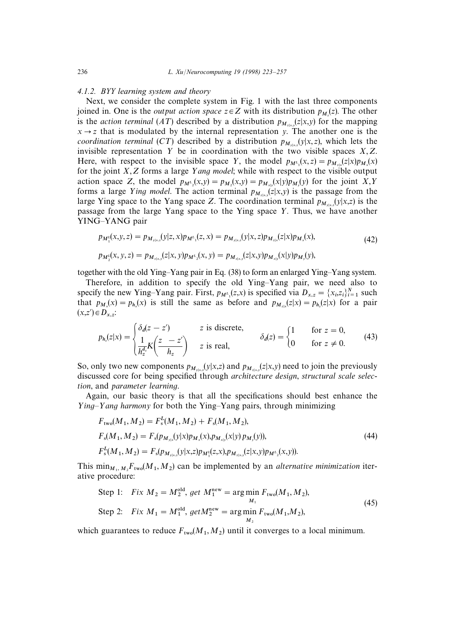#### *4.1.2. BYY learning system and theory*

Next, we consider the complete system in Fig. 1 with the last three components joined in. One is the *output action space*  $z \in Z$  with its distribution  $p_M(z)$ . The other is the *action terminal* (*AT*) described by a distribution  $p_{M_{z|x,y}}(z|x,y)$  for the mapping  $x \rightarrow z$  that is modulated by the internal representation *y*. The another one is the *coordination terminal* (*CT*) described by a distribution  $p_{M_{y|x,z}}(y|x,z)$ , which lets the invisible representation ½ be in coordination with the two visible spaces *X*, *Z*. Here, with respect to the invisible space Y, the model  $p_{M_{u}}(x, z) = p_{M_{u}}(z|x)p_{M_{x}}(x)$ for the joint *X*, *Z* forms a large *Yang model*; while with respect to the visible output action space *Z*, the model  $p_{M^L}(x,y) = p_{M_2}(x,y) = p_{M_{x|y}}(x|y)p_{M_y}(y)$  for the joint *X*, *Y* forms a large *Ying model*. The action terminal  $p_{M_z(x,y)}$  is the passage from the large Ying space to the Yang space *Z*. The coordination terminal  $p_{M_{y|x,z}}(y|x,z)$  is the passage from the large Yang space to the Ying space ½. Thus, we have another YING*—*YANG pair

$$
p_{M_1^L}(x,y,z) = p_{M_{y|x,z}}(y|z,x)p_{M^L}(z,x) = p_{M_{y|x,z}}(y|x,z)p_{M_{z|x}}(z|x)p_{M_x}(x),
$$
  
\n
$$
p_{M_2^L}(x,y,z) = p_{M_{z|x,y}}(z|x,y)p_{M^L}(x,y) = p_{M_{z|x,y}}(z|x,y)p_{M_{x|y}}(x|y)p_{M_y}(y),
$$
\n(42)

together with the old Ying*—*Yang pair in Eq. (38) to form an enlarged Ying*—*Yang system.

Therefore, in addition to specify the old Ying*—*Yang pair, we need also to specify the new Ying-Yang pair. First,  $p_{M_i^L}(z, x)$  is specified via  $D_{x,z} = \{x_i, z_i\}_{i=1}^N$  such that  $p_{M_x}(x) = p_{h_x}(x)$  is still the same as before and  $p_{M_{z|x}}(z|x) = p_{h_z}(z|x)$  for a pair  $(x,z') \in D_{x,z}$ 

$$
p_{h_z}(z|x) = \begin{cases} \delta_d(z-z') & z \text{ is discrete,} \\ \frac{1}{h_z^d}K\left(\frac{z-z'}{h_z}\right) & z \text{ is real,} \end{cases} \qquad \delta_d(z) = \begin{cases} 1 & \text{for } z = 0, \\ 0 & \text{for } z \neq 0. \end{cases} \tag{43}
$$

So, only two new components  $p_{M_{y|x,z}}(y|x,z)$  and  $p_{M_{z|x,y}}(z|x,y)$  need to join the previously discussed core for being specified through *architecture design*, *structural scale selection*, and *parameter learning*.

Again, our basic theory is that all the specifications should best enhance the ½*ing—*½*ang harmony* for both the Ying*—*Yang pairs, through minimizing

$$
F_{\text{two}}(M_1, M_2) = F_s^L(M_1, M_2) + F_s(M_1, M_2),
$$
  
\n
$$
F_s(M_1, M_2) = F_s(p_{M_{y|x}}(y|x)p_{M_x}(x), p_{M_{x|y}}(x|y)p_{M_y}(y)),
$$
  
\n
$$
F_s^L(M_1, M_2) = F_s(p_{M_{y|x,z}}(y|x,z)p_{M_1'}(z,x), p_{M_{z|x,y}}(z|x,y)p_{M_2'}(x,y)).
$$
\n(44)

This  $\min_{M_1, M_2} F_{\text{two}}(M_1, M_2)$  can be implemented by an *alternative minimization* iterative procedure:

Step 1: Fix 
$$
M_2 = M_2^{\text{old}}
$$
, get  $M_1^{\text{new}} = \arg \min_{M_1} F_{\text{two}}(M_1, M_2)$ ,  
\nStep 2: Fix  $M_1 = M_1^{\text{old}}$ , get  $M_2^{\text{new}} = \arg \min_{M_2} F_{\text{two}}(M_1, M_2)$ , (45)

which guarantees to reduce  $F_{\text{two}}(M_1, M_2)$  until it converges to a local minimum.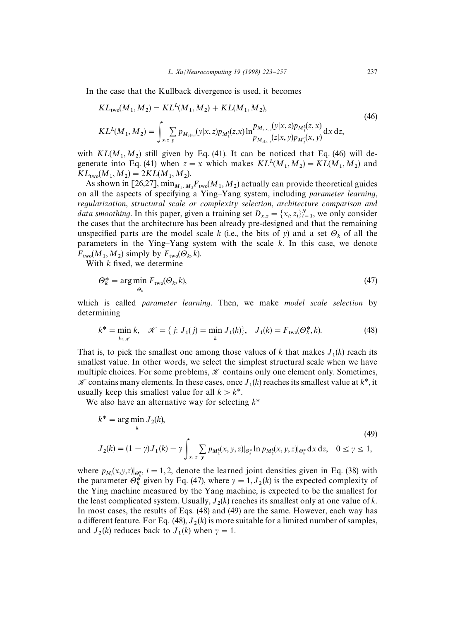In the case that the Kullback divergence is used, it becomes

$$
KL_{\text{two}}(M_1, M_2) = KL^{L}(M_1, M_2) + KL(M_1, M_2),
$$
\n
$$
KL^{L}(M_1, M_2) = \int_{x, z} \sum_{y} p_{M_{y|x,z}}(y|x, z) p_{M_{1}^{L}}(z, x) \ln \frac{p_{M_{y|x,z}}(y|x, z) p_{M_{1}^{L}}(z, x)}{p_{M_{z|x,y}}(z|x, y) p_{M_{2}^{L}}(x, y)} dx dz,
$$
\n(46)

with  $KL(M_1, M_2)$  still given by Eq. (41). It can be noticed that Eq. (46) will degenerate into Eq. (41) when  $z = x$  which makes  $KL^{L}(M_1, M_2) = KL(M_1, M_2)$  and  $KL_{\text{two}}(M_1, M_2) = 2KL(M_1, M_2).$ 

As shown in [26,27],  $\min_{M_1, M_2} F_{\text{two}}(M_1, M_2)$  actually can provide theoretical guides on all the aspects of specifying a Ying*—*Yang system, including *parameter learning*, *regularization*, *structural scale or complexity selection*, *architecture comparison and data smoothing*. In this paper, given a training set  $D_{x,z} = \{x_i, z_i\}_{i=1}^N$ , we only consider the cases that the architecture has been already pre-designed and that the remaining unspecified parts are the model scale *k* (i.e., the bits of *y*) and a set  $\Theta_k$  of all the parameters in the Ying*—*Yang system with the scale *k*. In this case, we denote  $F_{\text{two}}(M_1, M_2)$  simply by  $F_{\text{two}}(\Theta_k, k)$ .

With *k* fixed, we determine

$$
\Theta_k^* = \underset{\Theta_k}{\arg\min} \ F_{\text{two}}(\Theta_k, k), \tag{47}
$$

which is called *parameter learning*. Then, we make *model scale selection* by determining

$$
k^* = \min_{k \in \mathcal{K}} k, \quad \mathcal{K} = \{ j: J_1(j) = \min_k J_1(k) \}, \quad J_1(k) = F_{\text{two}}(\Theta_k^*, k). \tag{48}
$$

That is, to pick the smallest one among those values of  $k$  that makes  $J_1(k)$  reach its smallest value. In other words, we select the simplest structural scale when we have multiple choices. For some problems,  $\mathcal K$  contains only one element only. Sometimes,  $\mathcal K$  contains many elements. In these cases, once  $J_1(k)$  reaches its smallest value at  $k^*$ , it usually keep this smallest value for all  $k > k^*$ .

We also have an alternative way for selecting *k\**

$$
k^* = \arg\min_{k} J_2(k),
$$
\n
$$
J_2(k) = (1 - \gamma)J_1(k) - \gamma \int_{x, z} \sum_{y} p_{M_1^L}(x, y, z)|_{\Theta_k^*} \ln p_{M_2^L}(x, y, z)|_{\Theta_k^*} dx dz, \quad 0 \le \gamma \le 1,
$$
\n(49)

where  $p_{M_i}(x, y, z)|_{\Theta_k^*}$ ,  $i = 1, 2$ , denote the learned joint densities given in Eq. (38) with the parameter  $\Theta_k^*$  given by Eq. (47), where  $\gamma = 1, J_2(k)$  is the expected complexity of the Ying machine measured by the Yang machine, is expected to be the smallest for the least complicated system. Usually,  $J_2(k)$  reaches its smallest only at one value of *k*. In most cases, the results of Eqs. (48) and (49) are the same. However, each way has a different feature. For Eq.  $(48)$ ,  $J_2(k)$  is more suitable for a limited number of samples, and  $J_2(k)$  reduces back to  $J_1(k)$  when  $\gamma = 1$ .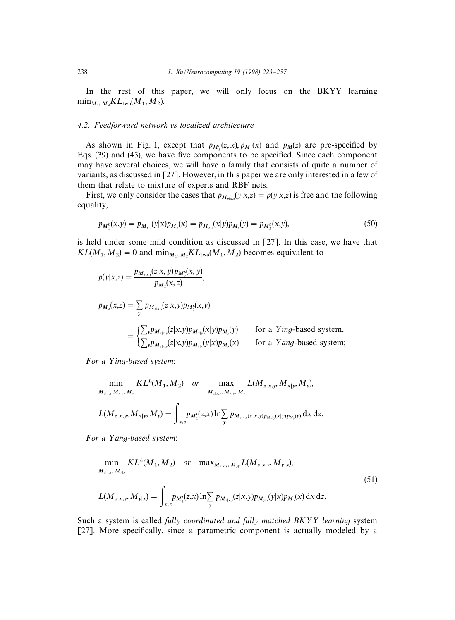In the rest of this paper, we will only focus on the BKYY learning  $\min_{M_1, M_2} KL_{\text{two}}(M_1, M_2)$ .

#### *4.2. Feedforward network vs localized architecture*

As shown in Fig. 1, except that  $p_{M_1^L}(z, x)$ ,  $p_{M_1}(x)$  and  $p_M(z)$  are pre-specified by Eqs. (39) and (43), we have five components to be specified. Since each component may have several choices, we will have a family that consists of quite a number of variants, as discussed in [27]. However, in this paper we are only interested in a few of them that relate to mixture of experts and RBF nets.

First, we only consider the cases that  $p_{M_{y|x,z}}(y|x,z) = p(y|x,z)$  is free and the following equality,

$$
p_{M_1^L}(x,y) = p_{M_{y|x}}(y|x)p_{M_x}(x) = p_{M_{xy}}(x|y)p_{M_y}(y) = p_{M_2^L}(x,y),
$$
\n(50)

is held under some mild condition as discussed in [27]. In this case, we have that  $KL(M_1, M_2) = 0$  and  $\min_{M_1, M_2} KL_{two}(M_1, M_2)$  becomes equivalent to

$$
p(y|x,z) = \frac{p_{M_{z|x,y}}(z|x,y)p_{M_2}(x,y)}{p_{M_2}(x,z)},
$$
  
\n
$$
p_{M_2}(x,z) = \sum_{y} p_{M_{z|x,y}}(z|x,y)p_{M_2}(x,y)
$$
  
\n
$$
= \begin{cases} \sum_{y} p_{M_{z|x,y}}(z|x,y)p_{M_{x|y}}(x|y)p_{M_y}(y) & \text{for a } Ying \text{-based system,} \\ \sum_{y} p_{M_{z|x,y}}(z|x,y)p_{M_{y|x}}(y|x)p_{M_x}(x) & \text{for a } Yang \text{-based system;} \end{cases}
$$

*For a* ½*ing*-*based system*:

min  $\min_{M_{z|x,y}, M_{x|y}, M_y} KL^L(M_1, M_2)$  *or*  $\max_{M_{z|x,y}, M_{x|y}}$  $\max_{M_{z|x,y}, M_{x|y}, M_y} L(M_{z|x,y}, M_{x|y}, M_y),$ 

$$
L(M_{z|x,y}, M_{x|y}, M_y) = \int_{x,z} p_{M_1^L}(z,x) \ln \sum_y p_{M_{z|x,y}(z|x,y)p_{M_2|y}(x|y)p_{M_2}(y)} dx dz.
$$

y

*For a* ½*ang*-*based system*:

$$
\min_{M_{z|x,y}, M_{y|x}} KL^{L}(M_{1}, M_{2}) \quad or \quad \max_{M_{z|x,y}, M_{y|x}} L(M_{z|x,y}, M_{y|x}),
$$
\n
$$
L(M_{z|x,y}, M_{y|x}) = \int_{x,z} p_{M_{1}}(z,x) \ln \sum_{y} p_{M_{z|x,y}}(z|x,y) p_{M_{y|x}}(y|x) p_{M_{x}}(x) dx dz.
$$
\n(51)

Such a system is called *fully coordinated and fully matched BK*½½ *learning* system [27]. More specifically, since a parametric component is actually modeled by a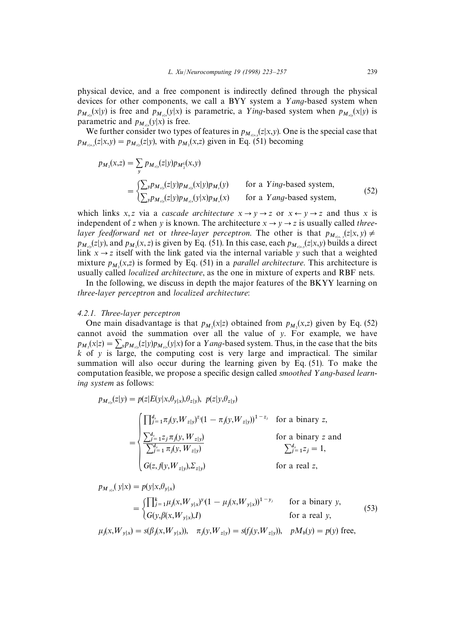physical device, and a free component is indirectly defined through the physical devices for other components, we call a BYY system a *Yang*-based system when  $p_{M_{x|y}}(x|y)$  is free and  $p_{M_{y|x}}(y|x)$  is parametric, a *Ying*-based system when  $p_{M_{x|y}}(x|y)$  is parametric and  $p_{M_{y|x}}(y|x)$  is free.

We further consider two types of features in  $p_{M_{z|x,y}}(z|x,y)$ . One is the special case that  $p_{M_{z|x,y}}(z|x,y) = p_{M_{z|y}}(z|y)$ , with  $p_{M_2}(x,z)$  given in Eq. (51) becoming

$$
p_{M_2}(x,z) = \sum_{y} p_{M_{z|y}}(z|y) p_{M'_2}(x,y)
$$
  
= 
$$
\begin{cases} \sum_{y} p_{M_{z|y}}(z|y) p_{M_{x|y}}(x|y) p_{M_y}(y) & \text{for a } Y \text{ing-based system,} \\ \sum_{y} p_{M_{z|y}}(z|y) p_{M_{y|x}}(y|x) p_{M_x}(x) & \text{for a } Y \text{ang-based system,} \end{cases}
$$
(52)

which links *x*, *z* via a *cascade architecture*  $x \rightarrow y \rightarrow z$  or  $x \leftarrow y \rightarrow z$  and thus *x* is independent of *z* when *y* is known. The architecture  $x \rightarrow y \rightarrow z$  is usually called *threelayer feedforward net* or *three-layer perceptron*. The other is that  $p_{M_{z|x,y}}(z|x,y) \neq 0$  $p_{M_{z|y}}(z|y)$ , and  $p_{M_2}(x, z)$  is given by Eq. (51). In this case, each  $p_{M_{z|x,y}}(z|x,y)$  builds a direct link  $x \rightarrow z$  itself with the link gated via the internal variable *y* such that a weighted mixture  $p_{M_2}(x, z)$  is formed by Eq. (51) in a *parallel architecture*. This architecture is usually called *localized architecture*, as the one in mixture of experts and RBF nets.

In the following, we discuss in depth the major features of the BKYY learning on *three*-*layer perceptron* and *localized architecture*:

#### *4.2.1. Three-layer perceptron*

One main disadvantage is that  $p_{M_2}(x|z)$  obtained from  $p_{M_2}(x,z)$  given by Eq. (52) cannot avoid the summation over all the value of *y*. For example, we have  $p_{M_2}(x|z) = \sum_{y} p_{M_{z|y}}(z|y) p_{M_{y|x}}(y|x)$  for a *Yang*-based system. Thus, in the case that the bits *k* of *y* is large, the computing cost is very large and impractical. The similar summation will also occur during the learning given by Eq. (51). To make the computation feasible, we propose a specific design called *smoothed* ½*ang*-*based learning system* as follows:

$$
p_{M_{z|y}}(z|y) = p(z|E(y|x, \theta_{y|x}), \theta_{z|y}), p(z|y, \theta_{z|y})
$$
\n
$$
= \begin{cases}\n\prod_{j=1}^{d_z} \pi_j(y, W_{z|y})^{z_j} (1 - \pi_j(y, W_{z|y}))^{1-z_j} & \text{for a binary } z, \\
\frac{\sum_{j=1}^{d_z} z_j \pi_j(y, W_{z|y})}{\sum_{j=1}^{d_z} \pi_j(y, W_{z|y})} & \text{for a binary } z \text{ and} \\
G(z, f(y, W_{z|y}), \Sigma_{z|y}) & \text{for a real } z,\n\end{cases}
$$

$$
p_{M_{y|x}}(y|x) = p(y|x, \theta_{y|x})
$$
  
= 
$$
\begin{cases} \prod_{j=1}^{k} \mu_j(x, W_{y|x})^y (1 - \mu_j(x, W_{y|x}))^{1 - y_j} & \text{for a binary } y, \\ G(y, \beta(x, W_{y|x}), I) & \text{for a real } y, \end{cases}
$$
(53)

 $\mu_j(x, W_{y|x}) = s(\beta_j(x, W_{y|x}))$ ,  $\pi_j(y, W_{z|y}) = s(f_j(y, W_{z|y}))$ ,  $pM_b(y) = p(y)$  free,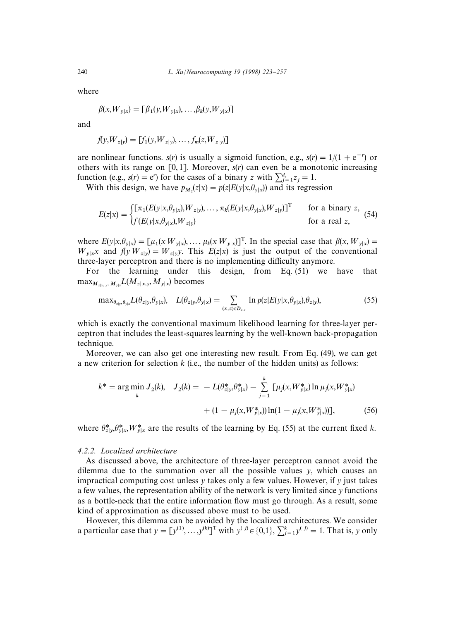where

$$
\beta(x, W_{y|x}) = \left[\beta_1(y, W_{y|x}), \dots, \beta_k(y, W_{y|x})\right]
$$

and

$$
f(y, W_{z|y}) = [f_1(y, W_{z|y}), \dots, f_m(z, W_{z|y})]
$$

are nonlinear functions. *s*(*r*) is usually a sigmoid function, e.g., *s*(*r*) =  $1/(1 + e^{-r})$  or others with its range on [0, 1]. Moreover,  $s(r)$  can even be a monotonic increasing function (e.g.,  $s(r) = e^r$ ) for the cases of a binary *z* with  $\sum_{j=1}^{d_z} z_j = 1$ .

With this design, we have  $p_{M_2}(z|x) = p(z|E(y|x, \theta_{y|x}))$  and its regression

$$
E(z|x) = \begin{cases} [\pi_1(E(y|x,\theta_{y|x}),W_{z|y}),\ldots,\pi_k(E(y|x,\theta_{y|x}),W_{z|y})]^{\mathrm{T}} & \text{for a binary } z, \\ f(E(y|x,\theta_{y|x}),W_{z|y}) & \text{for a real } z, \end{cases}
$$
(54)

where  $E(y|x, \theta_{y|x}) = [\mu_1(x|W_{y|x}), \dots, \mu_k(x|W_{y|x})]^T$ . In the special case that  $\beta(x, W_{y|x}) =$  $W_{y|x}$  and  $f(y|W_{z|y}) = W_{z|y}y$ . This  $E(z|x)$  is just the output of the conventional three-layer perceptron and there is no implementing difficulty anymore.

For the learning under this design, from Eq. (51) we have that  $\max_{M_{z|x, y}, M_{y|x}} L(M_{z|x, y}, M_{y|x})$  becomes

$$
\max_{\theta_{z|y}, \theta_{y|x}} L(\theta_{z|y}, \theta_{y|x}), \quad L(\theta_{z|y}, \theta_{y|x}) = \sum_{(x,z) \in D_{x,z}} \ln p(z|E(y|x, \theta_{y|x}), \theta_{z|y}), \tag{55}
$$

which is exactly the conventional maximum likelihood learning for three-layer perceptron that includes the least-squares learning by the well-known back-propagation technique.

Moreover, we can also get one interesting new result. From Eq. (49), we can get a new criterion for selection *k* (i.e., the number of the hidden units) as follows:

$$
k^* = \underset{k}{\arg\min} \ J_2(k), \quad J_2(k) = -L(\theta_{z|y}^*, \theta_{y|x}^*) - \sum_{j=1}^k \left[ \mu_j(x, W_{y|x}^*) \ln \mu_j(x, W_{y|x}^*) \right] + (1 - \mu_j(x, W_{y|x}^*)) \ln(1 - \mu_j(x, W_{y|x}^*))], \tag{56}
$$

where  $\theta^*_{z|y}, \theta^*_{y|x}, W^*_{y|x}$  are the results of the learning by Eq. (55) at the current fixed *k*.

## *4.2.2. Localized architecture*

As discussed above, the architecture of three-layer perceptron cannot avoid the dilemma due to the summation over all the possible values  $y$ , which causes an impractical computing cost unless  $\gamma$  takes only a few values. However, if  $\gamma$  just takes a few values, the representation ability of the network is very limited since *y* functions as a bottle-neck that the entire information flow must go through. As a result, some kind of approximation as discussed above must to be used.

However, this dilemma can be avoided by the localized architectures. We consider a particular case that  $y = [y^{(1)},...,y^{(k)}]^T$  with  $y^{(j)} \in \{0,1\}$ ,  $\sum_{j=1}^{k} y^{(j)} = 1$ . That is, *y* only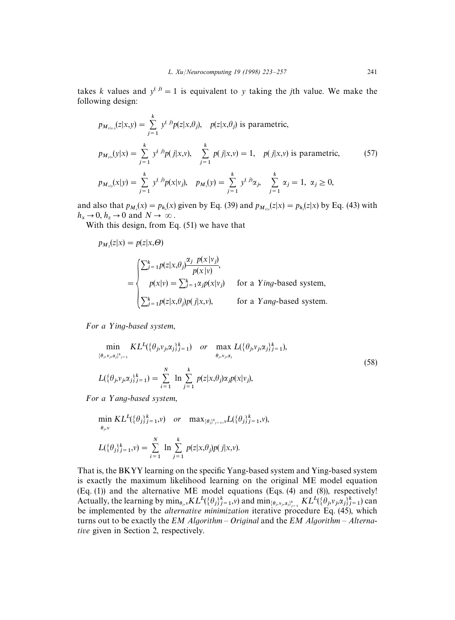takes *k* values and  $y^{(j)} = 1$  is equivalent to *y* taking the *j*th value. We make the following design:

$$
p_{M_{z|x,y}}(z|x,y) = \sum_{j=1}^{k} y^{(\ j)} p(z|x,\theta_j), \quad p(z|x,\theta_j) \text{ is parametric,}
$$
  
\n
$$
p_{M_{y|x}}(y|x) = \sum_{j=1}^{k} y^{(\ j)} p(j|x,y), \quad \sum_{j=1}^{k} p(j|x,y) = 1, \quad p(j|x,y) \text{ is parametric,}
$$
  
\n
$$
p_{M_{x|y}}(x|y) = \sum_{j=1}^{k} y^{(\ j)} p(x|y_j), \quad p_{M_y}(y) = \sum_{j=1}^{k} y^{(\ j)} \alpha_j, \quad \sum_{j=1}^{k} \alpha_j = 1, \ \alpha_j \ge 0,
$$
\n(57)

and also that  $p_{M_x}(x) = p_{h_x}(x)$  given by Eq. (39) and  $p_{M_{z|x}}(z|x) = p_{h_z}(z|x)$  by Eq. (43) with  $h_x \to 0$ ,  $h_z \to 0$  and  $N \to \infty$ .

With this design, from Eq. (51) we have that

$$
p_{M_2}(z|x) = p(z|x,\Theta)
$$
  
= 
$$
\begin{cases} \sum_{j=1}^k p(z|x,\theta_j) \frac{\alpha_j p(x|v_j)}{p(x|v)}, \\ p(x|v) = \sum_{j=1}^k \alpha_j p(x|v_j) \end{cases}
$$
 for a *Ying*-based system,  

$$
\sum_{j=1}^k p(z|x,\theta_j)p(j|x,v),
$$
 for a *Yang*-based system.

*For a* ½*ing*-*based system*,

$$
\min_{\{\theta_j, v_j, \alpha_j\}_{j=1}^k} KL^L(\{\theta_j, v_j, \alpha_j\}_{j=1}^k) \quad or \quad \max_{\theta_j, v_j, \alpha_j} L(\{\theta_j, v_j, \alpha_j\}_{j=1}^k),
$$
\n
$$
L(\{\theta_j, v_j, \alpha_j\}_{j=1}^k) = \sum_{i=1}^N \ln \sum_{j=1}^k p(z|x, \theta_j) \alpha_j p(x|v_j),
$$
\n(58)

*For a* ½*ang*-*based system*,

$$
\min_{\theta_j, v} KL^{L}(\{\theta_j\}_{j=1}^k, v) \quad or \quad \max_{\{\theta_j\}_{j=1}^k, v} L(\{\theta_j\}_{j=1}^k, v),
$$
  

$$
L(\{\theta_j\}_{j=1}^k, v) = \sum_{i=1}^N \ln \sum_{j=1}^k p(z|x, \theta_j) p(j|x, v).
$$

That is, the BKYY learning on the specific Yang-based system and Ying-based system is exactly the maximum likelihood learning on the original ME model equation (Eq. (1)) and the alternative ME model equations (Eqs. (4) and (8)), respectively! Actually, the learning by  $\min_{\{\theta_j, Y_{i-1}, Y\}} \text{and } \min_{\{\theta_j, \gamma_j, \alpha_j\}_{j=1}^k} KL^L(\{\theta_j, \gamma_j, \alpha_j\}_{j=1}^k)$  can be implemented by the *alternative minimization* iterative procedure Eq. (45), which turns out to be exactly the *EM Algorithm — Original* and the *EM Algorithm — Alternative* given in Section 2, respectively.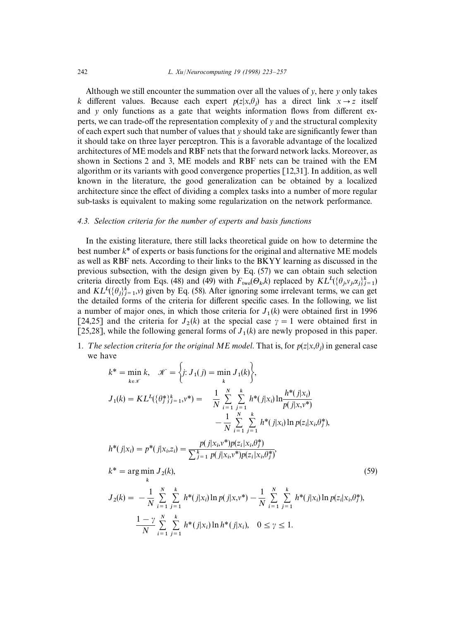Although we still encounter the summation over all the values of *y*, here *y* only takes *k* different values. Because each expert  $p(z|x,\theta_j)$  has a direct link  $x \rightarrow z$  itself and *y* only functions as a gate that weights information flows from different experts, we can trade-off the representation complexity of *y* and the structural complexity of each expert such that number of values that *y* should take are significantly fewer than it should take on three layer perceptron. This is a favorable advantage of the localized architectures of ME models and RBF nets that the forward network lacks. Moreover, as shown in Sections 2 and 3, ME models and RBF nets can be trained with the EM algorithm or its variants with good convergence properties [12,31]. In addition, as well known in the literature, the good generalization can be obtained by a localized architecture since the effect of dividing a complex tasks into a number of more regular sub-tasks is equivalent to making some regularization on the network performance.

## *4.3. Selection criteria for the number of experts and basis functions*

 $1 - \gamma$ *N*

 $\sum^N$  $i=1$ 

 $\sum^k$  $j=1$ 

In the existing literature, there still lacks theoretical guide on how to determine the best number *k\** of experts or basis functions for the original and alternative ME models as well as RBF nets. According to their links to the BKYY learning as discussed in the previous subsection, with the design given by Eq. (57) we can obtain such selection criteria directly from Eqs. (48) and (49) with  $F_{\text{two}}(\Theta_k, k)$  replaced by  $KL^L(\{\theta_j, v_j, \alpha_j\}_{j=1}^k)$ and  $KL^L(\{\theta_j\}_{j=1}^k, v)$  given by Eq. (58). After ignoring some irrelevant terms, we can get the detailed forms of the criteria for different specific cases. In the following, we list a number of major ones, in which those criteria for  $J_1(k)$  were obtained first in 1996 [24,25] and the criteria for  $J_2(k)$  at the special case  $\gamma = 1$  were obtained first in [24,25] and the criteria for  $J_2(k)$  at the special case  $\gamma = 1$  were obtained first in [25,28], while the following general forms of  $J_1(k)$  are newly proposed in this paper.

1. The selection criteria for the original ME model. That is, for  $p(z|x,\theta_j)$  in general case we have

$$
k^* = \min_{k \in \mathcal{K}} k, \quad \mathcal{K} = \left\{ j: J_1(j) = \min_{k} J_1(k) \right\},
$$
  
\n
$$
J_1(k) = KL^L(\{\theta_j^*\}_{j=1}^k, v^*) = \frac{1}{N} \sum_{i=1}^N \sum_{j=1}^k h^*(j|x_i) \ln \frac{h^*(j|x_i)}{p(j|x_i v^*)} - \frac{1}{N} \sum_{i=1}^N \sum_{j=1}^k h^*(j|x_i) \ln p(z_i|x_i, \theta_j^*)
$$
,  
\n
$$
h^*(j|x_i) = p^*(j|x_i, z_i) = \frac{p(j|x_i, v^*)p(z_i|x_i, \theta_j^*)}{\sum_{j=1}^k p(j|x_i, v^*)p(z_i|x_i, \theta_j^*)}
$$
  
\n
$$
k^* = \arg \min_{k} J_2(k),
$$
  
\n
$$
J_2(k) = -\frac{1}{N} \sum_{i=1}^N \sum_{j=1}^k h^*(j|x_i) \ln p(j|x_i v^*) - \frac{1}{N} \sum_{i=1}^N \sum_{j=1}^k h^*(j|x_i) \ln p(z_i|x_i, \theta_j^*),
$$
  
\n(59)

 $h^*(j|x_i) \ln h^*(j|x_i), \quad 0 \le \gamma \le 1.$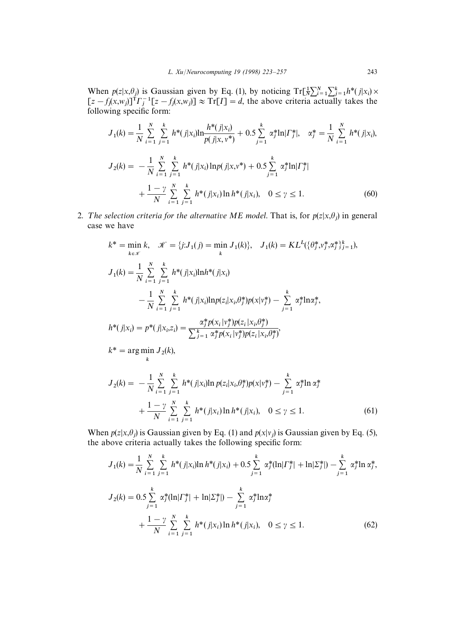When  $p(z|x, \theta_j)$  is Gaussian given by Eq. (1), by noticing  $Tr[\frac{1}{N}\sum_{i=1}^{N}\sum_{i=1}^{k}h^*(j|x_i)\times$  $[z - f_j(x, w_j)]^T \Gamma_j^{-1} [z - f_j(x, w_j)] \approx \text{Tr}[I] = d$ , the above criteria actually takes the following specific form:

$$
J_{1}(k) = \frac{1}{N} \sum_{i=1}^{N} \sum_{j=1}^{k} h^{*}(j|x_{i}) \ln \frac{h^{*}(j|x_{i})}{p(j|x, v^{*})} + 0.5 \sum_{j=1}^{k} \alpha_{j}^{*} \ln | \Gamma_{j}^{*}|, \quad \alpha_{j}^{*} = \frac{1}{N} \sum_{i=1}^{N} h^{*}(j|x_{i}),
$$
  
\n
$$
J_{2}(k) = -\frac{1}{N} \sum_{i=1}^{N} \sum_{j=1}^{k} h^{*}(j|x_{i}) \ln p(j|x, v^{*}) + 0.5 \sum_{j=1}^{k} \alpha_{j}^{*} \ln | \Gamma_{j}^{*} |
$$
  
\n
$$
+ \frac{1-\gamma}{N} \sum_{i=1}^{N} \sum_{j=1}^{k} h^{*}(j|x_{i}) \ln h^{*}(j|x_{i}), \quad 0 \le \gamma \le 1.
$$
 (60)

2. The selection criteria for the alternative ME model. That is, for  $p(z|x,\theta_j)$  in general case we have

$$
k^* = \min_{k \in \mathcal{X}} k, \quad \mathcal{K} = \{j: J_1(j) = \min_{k} J_1(k)\}, \quad J_1(k) = KL^L(\{\theta_j^*, v_j^*, \alpha_j^*\}_{j=1}^k),
$$
  
\n
$$
J_1(k) = \frac{1}{N} \sum_{i=1}^N \sum_{j=1}^k h^*(j|x_i) \ln h^*(j|x_i)
$$
  
\n
$$
- \frac{1}{N} \sum_{i=1}^N \sum_{j=1}^k h^*(j|x_i) \ln p(z_i|x_i, \theta_j^*) p(x|v_j^*) - \sum_{j=1}^k \alpha_j^* \ln \alpha_j^*,
$$
  
\n
$$
h^*(j|x_i) = p^*(j|x_i, z_i) = \frac{\alpha_j^* p(x_i|v_j^*) p(z_i|x_i, \theta_j^*)}{\sum_{j=1}^k \alpha_j^* p(x_i|v_j^*) p(z_i|x_i, \theta_j^*)},
$$
  
\n
$$
k^* = \arg \min_{k} J_2(k),
$$
  
\n
$$
J_2(k) = -\frac{1}{N} \sum_{i=1}^N \sum_{j=1}^k h^*(j|x_i) \ln p(z_i|x_i, \theta_j^*) p(x|v_j^*) - \sum_{j=1}^k \alpha_j^* \ln \alpha_j^*
$$
  
\n
$$
+ \frac{1 - \gamma}{N} \sum_{i=1}^N \sum_{j=1}^k h^*(j|x_i) \ln h^*(j|x_i), \quad 0 \le \gamma \le 1.
$$
  
\n(61)

When  $p(z|x, \theta_j)$  is Gaussian given by Eq. (1) and  $p(x|y_j)$  is Gaussian given by Eq. (5), the above criteria actually takes the following specific form:

 $i=1$ 

 $j=1$ 

$$
J_1(k) = \frac{1}{N} \sum_{i=1}^{N} \sum_{j=1}^{k} h^*(j|x_i) \ln h^*(j|x_i) + 0.5 \sum_{j=1}^{k} \alpha_j^* (\ln |T_j^*| + \ln |\Sigma_j^*|) - \sum_{j=1}^{k} \alpha_j^* \ln \alpha_j^*,
$$
  

$$
J_2(k) = 0.5 \sum_{j=1}^{k} \alpha_j^* (\ln |T_j^*| + \ln |\Sigma_j^*|) - \sum_{j=1}^{k} \alpha_j^* \ln \alpha_j^*
$$
  

$$
+ \frac{1 - \gamma}{N} \sum_{i=1}^{N} \sum_{j=1}^{k} h^*(j|x_i) \ln h^*(j|x_i), \quad 0 \le \gamma \le 1.
$$
 (62)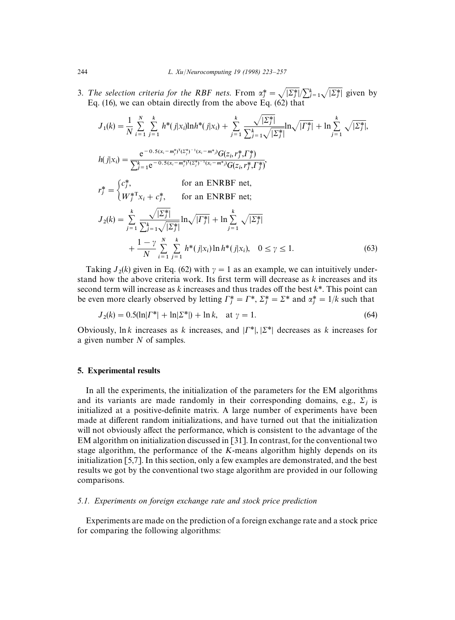3. The selection criteria for the RBF nets. From  $\alpha_j^* = \sqrt{|\Sigma_j^*|} / \sum_{j=1}^k \sqrt{|\Sigma_j^*|}$  given by Eq. (16), we can obtain directly from the above Eq. (62) that

$$
J_{1}(k) = \frac{1}{N} \sum_{i=1}^{N} \sum_{j=1}^{k} h^{*}(j|x_{i}) \ln h^{*}(j|x_{i}) + \sum_{j=1}^{k} \frac{\sqrt{|\Sigma_{j}^{*}|}}{\sum_{j=1}^{k} \sqrt{|\Sigma_{j}^{*}|}} \ln \sqrt{|I_{j}^{*}|} + \ln \sum_{j=1}^{k} \sqrt{|\Sigma_{j}^{*}|},
$$
  
\n
$$
h(j|x_{i}) = \frac{e^{-0.5(x_{i} - m_{j}^{*}) \Gamma(\Sigma_{j}^{*})^{-1}(x_{i} - m^{*})} G(z_{i}, r_{j}^{*}, \Gamma_{j}^{*})}{\sum_{j=1}^{k} e^{-0.5(x_{i} - m_{j}^{*}) \Gamma(\Sigma_{j}^{*})^{-1}(x_{i} - m^{*})} G(z_{i}, r_{j}^{*}, \Gamma_{j}^{*})},
$$
  
\n
$$
r_{j}^{*} =\begin{cases} c_{j}^{*}, & \text{for an ENRBF net}, \\ W_{j}^{*} T_{x_{i}} + c_{j}^{*}, & \text{for an ENRBF net}; \end{cases}
$$
  
\n
$$
J_{2}(k) = \sum_{j=1}^{k} \frac{\sqrt{|\Sigma_{j}^{*}|}}{\sum_{j=1}^{k} \sqrt{|\Sigma_{j}^{*}|}} \ln \sqrt{|I_{j}^{*}|} + \ln \sum_{j=1}^{k} \sqrt{|\Sigma_{j}^{*}|}
$$
  
\n
$$
+ \frac{1 - \gamma}{N} \sum_{i=1}^{N} \sum_{j=1}^{k} h^{*}(j|x_{i}) \ln h^{*}(j|x_{i}), \quad 0 \le \gamma \le 1.
$$
  
\n(63)

Taking  $J_2(k)$  given in Eq. (62) with  $\gamma = 1$  as an example, we can intuitively understand how the above criteria work. Its first term will decrease as *k* increases and its second term will increase as *k* increases and thus trades off the best *k\**. This point can be even more clearly observed by letting  $\Gamma_j^* = \Gamma^*$ ,  $\Sigma_j^* = \Sigma^*$  and  $\alpha_j^* = 1/k$  such that

$$
J_2(k) = 0.5(\ln|I^*| + \ln|\Sigma^*|) + \ln k, \text{ at } \gamma = 1.
$$
 (64)

Obviously, ln *k* increases as *k* increases, and  $|T^*|$ ,  $|\Sigma^*|$  decreases as *k* increases for a given number *N* of samples.

## 5. Experimental results

In all the experiments, the initialization of the parameters for the EM algorithms and its variants are made randomly in their corresponding domains, e.g.,  $\Sigma_j$  is initialized at a positive-definite matrix. A large number of experiments have been made at different random initializations, and have turned out that the initialization will not obviously affect the performance, which is consistent to the advantage of the EM algorithm on initialization discussed in [31]. In contrast, for the conventional two stage algorithm, the performance of the *K*-means algorithm highly depends on its initialization [5,7]. In this section, only a few examples are demonstrated, and the best results we got by the conventional two stage algorithm are provided in our following comparisons.

# *5.1. Experiments on foreign exchange rate and stock price prediction*

Experiments are made on the prediction of a foreign exchange rate and a stock price for comparing the following algorithms: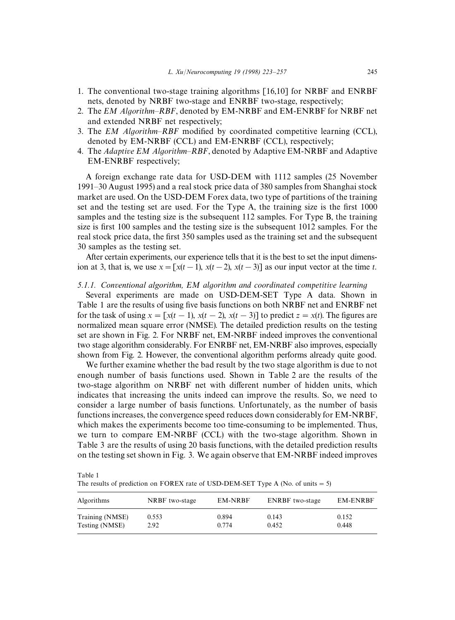- 1. The conventional two-stage training algorithms [16,10] for NRBF and ENRBF nets, denoted by NRBF two-stage and ENRBF two-stage, respectively;
- 2. The *EM Algorithm—RBF*, denoted by EM-NRBF and EM-ENRBF for NRBF net and extended NRBF net respectively;
- 3. The *EM Algorithm—RBF* modified by coordinated competitive learning (CCL), denoted by EM-NRBF (CCL) and EM-ENRBF (CCL), respectively;
- 4. The *Adaptive EM Algorithm—RBF*, denoted by Adaptive EM-NRBF and Adaptive EM-ENRBF respectively;

A foreign exchange rate data for USD-DEM with 1112 samples (25 November 1991*—*30 August 1995) and a real stock price data of 380 samples from Shanghai stock market are used. On the USD-DEM Forex data, two type of partitions of the training set and the testing set are used. For the Type A, the training size is the first 1000 samples and the testing size is the subsequent 112 samples. For Type B, the training size is first 100 samples and the testing size is the subsequent 1012 samples. For the real stock price data, the first 350 samples used as the training set and the subsequent 30 samples as the testing set.

After certain experiments, our experience tells that it is the best to set the input dimension at 3, that is, we use  $x = [x(t-1), x(t-2), x(t-3)]$  as our input vector at the time *t*.

## *5.1.1. Conventional algorithm, EM algorithm and coordinated competitive learning*

Several experiments are made on USD-DEM-SET Type A data. Shown in Table 1 are the results of using five basis functions on both NRBF net and ENRBF net for the task of using  $x = [x(t-1), x(t-2), x(t-3)]$  to predict  $z = x(t)$ . The figures are normalized mean square error (NMSE). The detailed prediction results on the testing set are shown in Fig. 2. For NRBF net, EM-NRBF indeed improves the conventional two stage algorithm considerably. For ENRBF net, EM-NRBF also improves, especially shown from Fig. 2. However, the conventional algorithm performs already quite good.

We further examine whether the bad result by the two stage algorithm is due to not enough number of basis functions used. Shown in Table 2 are the results of the two-stage algorithm on NRBF net with different number of hidden units, which indicates that increasing the units indeed can improve the results. So, we need to consider a large number of basis functions. Unfortunately, as the number of basis functions increases, the convergence speed reduces down considerably for EM-NRBF, which makes the experiments become too time-consuming to be implemented. Thus, we turn to compare EM-NRBF (CCL) with the two-stage algorithm. Shown in Table 3 are the results of using 20 basis functions, with the detailed prediction results on the testing set shown in Fig. 3. We again observe that EM-NRBF indeed improves

| Table 1                                                                             |  |
|-------------------------------------------------------------------------------------|--|
| The results of prediction on FOREX rate of USD-DEM-SET Type A (No. of units $= 5$ ) |  |

| Algorithms      | NRBF two-stage | <b>EM-NRBF</b> | <b>ENRBF</b> two-stage | <b>EM-ENRBF</b> |
|-----------------|----------------|----------------|------------------------|-----------------|
| Training (NMSE) | 0.553          | 0.894          | 0.143                  | 0.152           |
| Testing (NMSE)  | 2.92           | 0.774          | 0.452                  | 0.448           |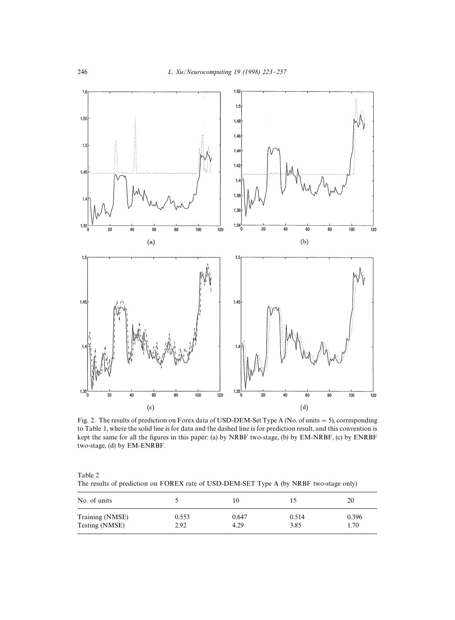

Fig. 2. The results of prediction on Forex data of USD-DEM-Set Type A (No. of units  $= 5$ ), corresponding to Table 1, where the solid line is for data and the dashed line is for prediction result, and this convention is kept the same for all the figures in this paper: (a) by NRBF two-stage, (b) by EM-NRBF, (c) by ENRBF two-stage, (d) by EM-ENRBF.

Table 2 The results of prediction on FOREX rate of USD-DEM-SET Type A (by NRBF two-stage only)

| No. of units    |       | 10    | LD.   | 20    |
|-----------------|-------|-------|-------|-------|
| Training (NMSE) | 0.553 | 0.647 | 0.514 | 0.396 |
| Testing (NMSE)  | 2.92  | 4.29  | 3.85  | 1.70  |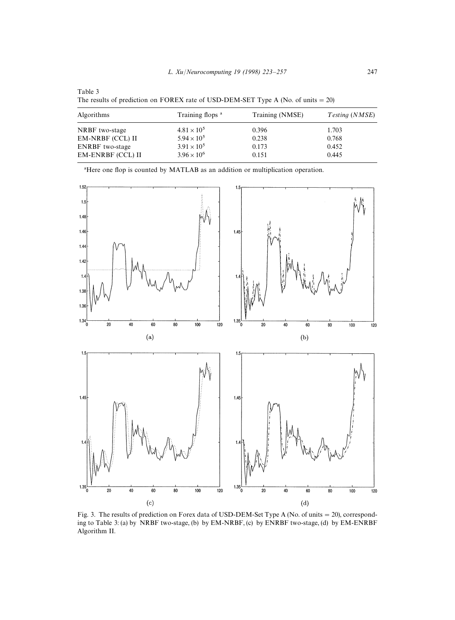| The results of prediction on FORER rate of ODD DEIM SET Type is (190, or units $\sim$ 20) |                 |                |  |  |
|-------------------------------------------------------------------------------------------|-----------------|----------------|--|--|
| Training flops <sup>a</sup>                                                               | Training (NMSE) | Testing (NMSE) |  |  |
| $4.81 \times 10^{5}$                                                                      | 0.396           | 1.703          |  |  |
| $5.94 \times 10^{5}$                                                                      | 0.238           | 0.768          |  |  |
| $3.91 \times 10^{5}$                                                                      | 0.173           | 0.452          |  |  |
| $3.96 \times 10^{6}$                                                                      | 0.151           | 0.445          |  |  |
|                                                                                           |                 |                |  |  |

Table 3 The results of prediction on FOREX rate of USD-DEM-SET Type A (No. of units  $= 20$ )

<sup>a</sup>Here one flop is counted by MATLAB as an addition or multiplication operation.



Fig. 3. The results of prediction on Forex data of USD-DEM-Set Type A (No. of units  $= 20$ ), corresponding to Table 3: (a) by NRBF two-stage, (b) by EM-NRBF, (c) by ENRBF two-stage, (d) by EM-ENRBF Algorithm II.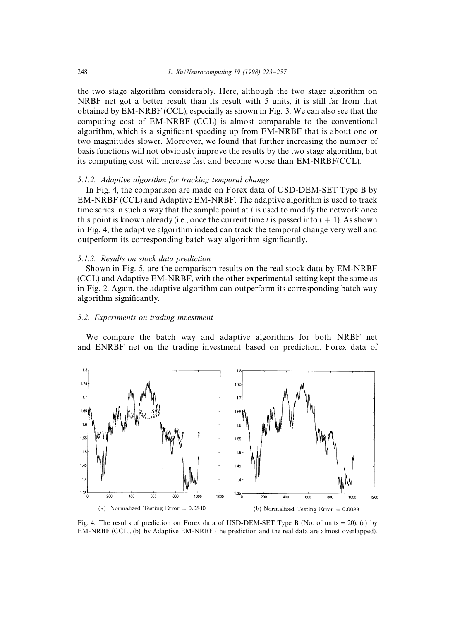the two stage algorithm considerably. Here, although the two stage algorithm on NRBF net got a better result than its result with 5 units, it is still far from that obtained by EM-NRBF (CCL), especially as shown in Fig. 3. We can also see that the computing cost of EM-NRBF (CCL) is almost comparable to the conventional algorithm, which is a significant speeding up from EM-NRBF that is about one or two magnitudes slower. Moreover, we found that further increasing the number of basis functions will not obviously improve the results by the two stage algorithm, but its computing cost will increase fast and become worse than EM-NRBF(CCL).

#### *5.1.2. Adaptive algorithm for tracking temporal change*

In Fig. 4, the comparison are made on Forex data of USD-DEM-SET Type B by EM-NRBF (CCL) and Adaptive EM-NRBF. The adaptive algorithm is used to track time series in such a way that the sample point at *t* is used to modify the network once this point is known already (i.e., once the current time *t* is passed into  $t + 1$ ). As shown in Fig. 4, the adaptive algorithm indeed can track the temporal change very well and outperform its corresponding batch way algorithm significantly.

## *5.1.3. Results on stock data prediction*

Shown in Fig. 5, are the comparison results on the real stock data by EM-NRBF (CCL) and Adaptive EM-NRBF, with the other experimental setting kept the same as in Fig. 2. Again, the adaptive algorithm can outperform its corresponding batch way algorithm significantly.

#### *5.2. Experiments on trading investment*

We compare the batch way and adaptive algorithms for both NRBF net and ENRBF net on the trading investment based on prediction. Forex data of



Fig. 4. The results of prediction on Forex data of USD-DEM-SET Type B (No. of units = 20): (a) by EM-NRBF (CCL), (b) by Adaptive EM-NRBF (the prediction and the real data are almost overlapped).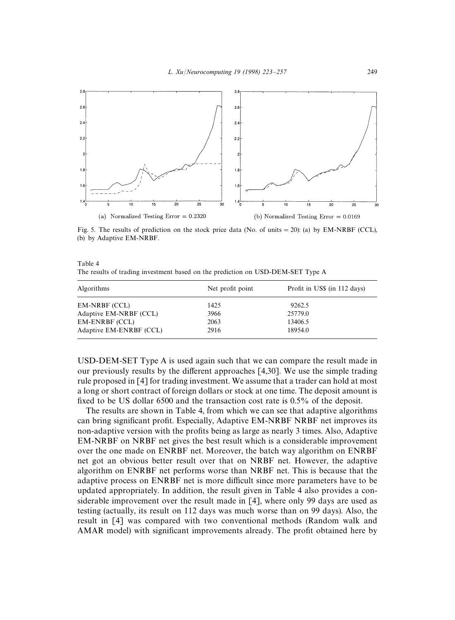

Fig. 5. The results of prediction on the stock price data (No. of units  $= 20$ ): (a) by EM-NRBF (CCL), (b) by Adaptive EM-NRBF.

Table 4 The results of trading investment based on the prediction on USD-DEM-SET Type A

| Algorithms              | Net profit point | Profit in US\$ (in 112 days) |
|-------------------------|------------------|------------------------------|
| <b>EM-NRBF</b> (CCL)    | 1425             | 9262.5                       |
| Adaptive EM-NRBF (CCL)  | 3966             | 25779.0                      |
| <b>EM-ENRBF</b> (CCL)   | 2063             | 13406.5                      |
| Adaptive EM-ENRBF (CCL) | 2916             | 18954.0                      |

USD-DEM-SET Type A is used again such that we can compare the result made in our previously results by the different approaches [4,30]. We use the simple trading rule proposed in [4] for trading investment. We assume that a trader can hold at most a long or short contract of foreign dollars or stock at one time. The deposit amount is fixed to be US dollar 6500 and the transaction cost rate is 0.5% of the deposit.

The results are shown in Table 4, from which we can see that adaptive algorithms can bring significant profit. Especially, Adaptive EM-NRBF NRBF net improves its non-adaptive version with the profits being as large as nearly 3 times. Also, Adaptive EM-NRBF on NRBF net gives the best result which is a considerable improvement over the one made on ENRBF net. Moreover, the batch way algorithm on ENRBF net got an obvious better result over that on NRBF net. However, the adaptive algorithm on ENRBF net performs worse than NRBF net. This is because that the adaptive process on ENRBF net is more difficult since more parameters have to be updated appropriately. In addition, the result given in Table 4 also provides a considerable improvement over the result made in [4], where only 99 days are used as testing (actually, its result on 112 days was much worse than on 99 days). Also, the result in [4] was compared with two conventional methods (Random walk and AMAR model) with significant improvements already. The profit obtained here by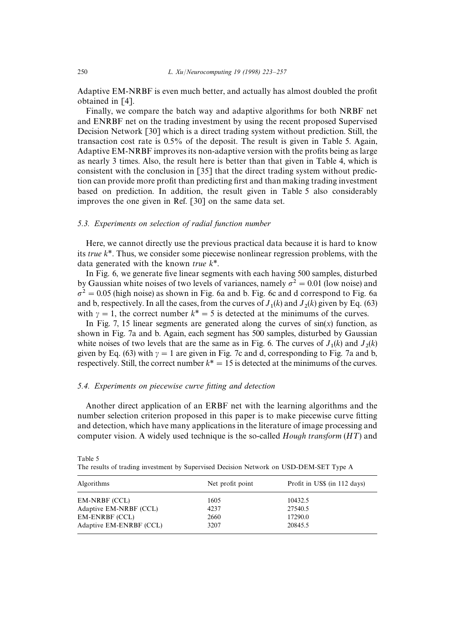Adaptive EM-NRBF is even much better, and actually has almost doubled the profit obtained in [4].

Finally, we compare the batch way and adaptive algorithms for both NRBF net and ENRBF net on the trading investment by using the recent proposed Supervised Decision Network [30] which is a direct trading system without prediction. Still, the transaction cost rate is 0.5% of the deposit. The result is given in Table 5. Again, Adaptive EM-NRBF improves its non-adaptive version with the profits being as large as nearly 3 times. Also, the result here is better than that given in Table 4, which is consistent with the conclusion in [35] that the direct trading system without prediction can provide more profit than predicting first and than making trading investment based on prediction. In addition, the result given in Table 5 also considerably improves the one given in Ref. [30] on the same data set.

#### *5.3. Experiments on selection of radial function number*

Here, we cannot directly use the previous practical data because it is hard to know its *true k\**. Thus, we consider some piecewise nonlinear regression problems, with the data generated with the known *true k\**.

In Fig. 6, we generate five linear segments with each having 500 samples, disturbed by Gaussian white noises of two levels of variances, namely  $\sigma^2 = 0.01$  (low noise) and  $\sigma^2$  = 0.05 (high noise) as shown in Fig. 6a and b. Fig. 6c and d correspond to Fig. 6a and b, respectively. In all the cases, from the curves of  $J_1(k)$  and  $J_2(k)$  given by Eq. (63) with  $\gamma = 1$ , the correct number  $k^* = 5$  is detected at the minimums of the curves.

In Fig. 7, 15 linear segments are generated along the curves of  $sin(x)$  function, as shown in Fig. 7a and b. Again, each segment has 500 samples, disturbed by Gaussian white noises of two levels that are the same as in Fig. 6. The curves of  $J_1(k)$  and  $J_2(k)$ given by Eq. (63) with  $\gamma = 1$  are given in Fig. 7c and d, corresponding to Fig. 7a and b, respectively. Still, the correct number  $k^* = 15$  is detected at the minimums of the curves.

# *5.4. Experiments on piecewise curve fitting and detection*

Another direct application of an ERBF net with the learning algorithms and the number selection criterion proposed in this paper is to make piecewise curve fitting and detection, which have many applications in the literature of image processing and computer vision. A widely used technique is the so-called *Hough transform*  $(HT)$  and

Table 5 The results of trading investment by Supervised Decision Network on USD-DEM-SET Type A

| Profit in US\$ (in 112 days)<br>Net profit point<br><b>Algorithms</b>                                                                                                          |  |
|--------------------------------------------------------------------------------------------------------------------------------------------------------------------------------|--|
|                                                                                                                                                                                |  |
| <b>EM-NRBF</b> (CCL)<br>10432.5<br>1605<br>Adaptive EM-NRBF (CCL)<br>4237<br>27540.5<br><b>EM-ENRBF</b> (CCL)<br>2660<br>17290.0<br>Adaptive EM-ENRBF (CCL)<br>20845.5<br>3207 |  |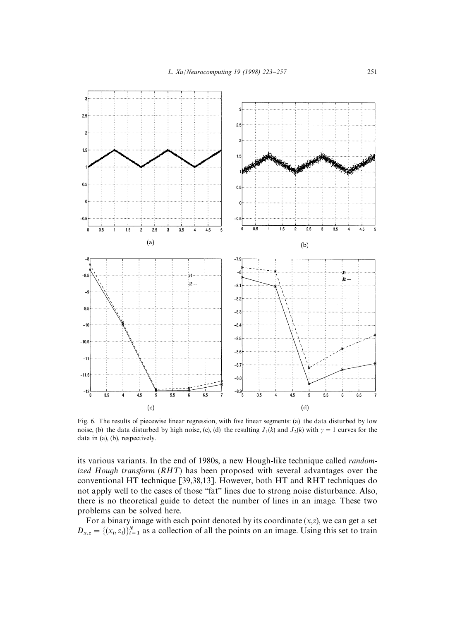

Fig. 6. The results of piecewise linear regression, with five linear segments: (a) the data disturbed by low noise, (b) the data disturbed by high noise, (c), (d) the resulting  $J_1(k)$  and  $J_2(k)$  with  $\gamma = 1$  curves for the data in (a), (b), respectively.

its various variants. In the end of 1980s, a new Hough-like technique called *randomized Hough transform* (*RHT*) has been proposed with several advantages over the conventional HT technique [39,38,13]. However, both HT and RHT techniques do not apply well to the cases of those "fat" lines due to strong noise disturbance. Also, there is no theoretical guide to detect the number of lines in an image. These two problems can be solved here.

For a binary image with each point denoted by its coordinate (*x*,*z*), we can get a set  $D_{x,z} = \{(x_i, z_i)\}_{i=1}^N$  as a collection of all the points on an image. Using this set to train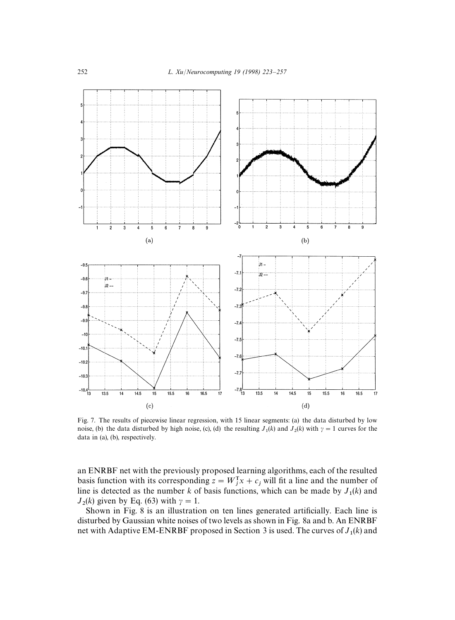

Fig. 7. The results of piecewise linear regression, with 15 linear segments: (a) the data disturbed by low noise, (b) the data disturbed by high noise, (c), (d) the resulting  $J_1(k)$  and  $J_2(k)$  with  $\gamma = 1$  curves for the data in (a), (b), respectively.

an ENRBF net with the previously proposed learning algorithms, each of the resulted basis function with its corresponding  $z = W_j^T x + c_j$  will fit a line and the number of line is detected as the number *k* of basis functions, which can be made by  $J_1(k)$  and  $J_2(k)$  given by Eq. (63) with  $\gamma = 1$ .

Shown in Fig. 8 is an illustration on ten lines generated artificially. Each line is disturbed by Gaussian white noises of two levels as shown in Fig. 8a and b. An ENRBF net with Adaptive EM-ENRBF proposed in Section 3 is used. The curves of *J* 1 (*k*) and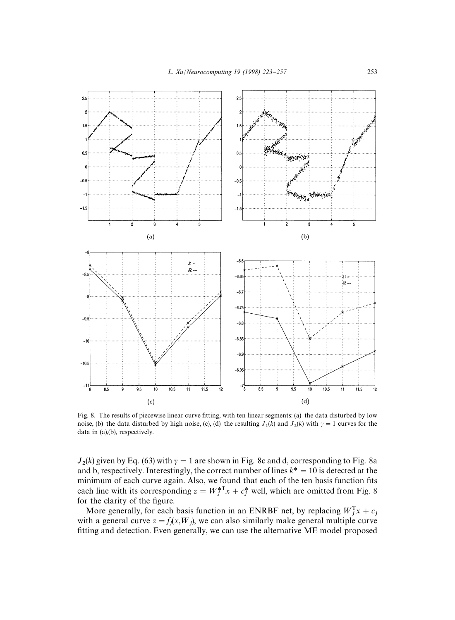

Fig. 8. The results of piecewise linear curve fitting, with ten linear segments: (a) the data disturbed by low noise, (b) the data disturbed by high noise, (c), (d) the resulting  $J_1(k)$  and  $J_2(k)$  with  $\gamma = 1$  curves for the data in (a),(b), respectively.

 $J_2(k)$  given by Eq. (63) with  $\gamma = 1$  are shown in Fig. 8c and d, corresponding to Fig. 8a and b, respectively. Interestingly, the correct number of lines  $k^* = 10$  is detected at the minimum of each curve again. Also, we found that each of the ten basis function fits each line with its corresponding  $z = W_j^*$ <sup>T</sup> $x + c_j^*$  well, which are omitted from Fig. 8 for the clarity of the figure.

More generally, for each basis function in an ENRBF net, by replacing  $W_j^{\mathsf{T}}x + c_j$ with a general curve  $z = f_j(x, W_j)$ , we can also similarly make general multiple curve fitting and detection. Even generally, we can use the alternative ME model proposed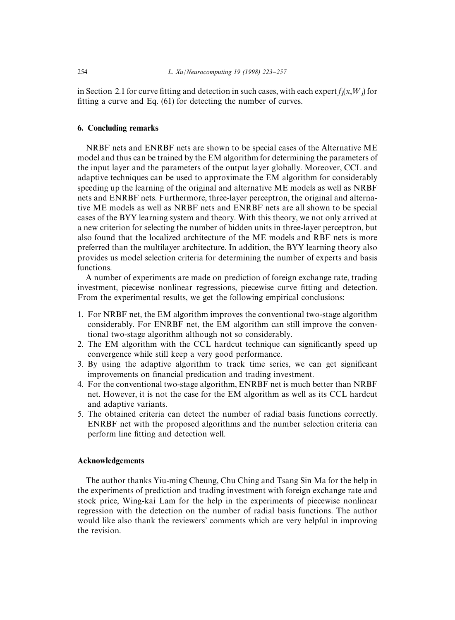in Section 2.1 for curve fitting and detection in such cases, with each expert  $f_j(x, W_j)$  for fitting a curve and Eq. (61) for detecting the number of curves.

# 6. Concluding remarks

NRBF nets and ENRBF nets are shown to be special cases of the Alternative ME model and thus can be trained by the EM algorithm for determining the parameters of the input layer and the parameters of the output layer globally. Moreover, CCL and adaptive techniques can be used to approximate the EM algorithm for considerably speeding up the learning of the original and alternative ME models as well as NRBF nets and ENRBF nets. Furthermore, three-layer perceptron, the original and alternative ME models as well as NRBF nets and ENRBF nets are all shown to be special cases of the BYY learning system and theory. With this theory, we not only arrived at a new criterion for selecting the number of hidden units in three-layer perceptron, but also found that the localized architecture of the ME models and RBF nets is more preferred than the multilayer architecture. In addition, the BYY learning theory also provides us model selection criteria for determining the number of experts and basis functions.

A number of experiments are made on prediction of foreign exchange rate, trading investment, piecewise nonlinear regressions, piecewise curve fitting and detection. From the experimental results, we get the following empirical conclusions:

- 1. For NRBF net, the EM algorithm improves the conventional two-stage algorithm considerably. For ENRBF net, the EM algorithm can still improve the conventional two-stage algorithm although not so considerably.
- 2. The EM algorithm with the CCL hardcut technique can significantly speed up convergence while still keep a very good performance.
- 3. By using the adaptive algorithm to track time series, we can get significant improvements on financial predication and trading investment.
- 4. For the conventional two-stage algorithm, ENRBF net is much better than NRBF net. However, it is not the case for the EM algorithm as well as its CCL hardcut and adaptive variants.
- 5. The obtained criteria can detect the number of radial basis functions correctly. ENRBF net with the proposed algorithms and the number selection criteria can perform line fitting and detection well.

## Acknowledgements

The author thanks Yiu-ming Cheung, Chu Ching and Tsang Sin Ma for the help in the experiments of prediction and trading investment with foreign exchange rate and stock price, Wing-kai Lam for the help in the experiments of piecewise nonlinear regression with the detection on the number of radial basis functions. The author would like also thank the reviewers' comments which are very helpful in improving the revision.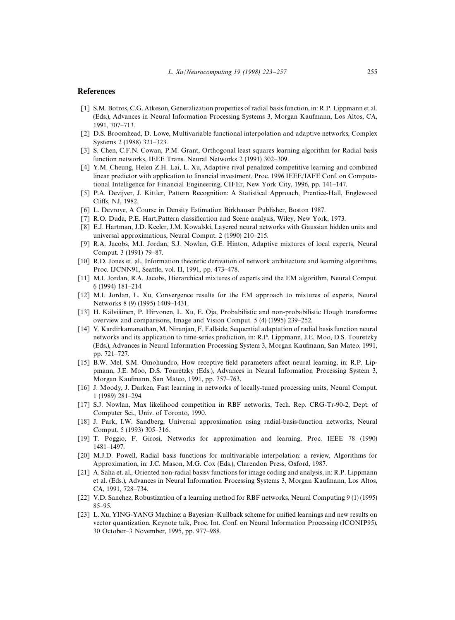#### References

- [1] S.M. Botros, C.G. Atkeson, Generalization properties of radial basis function, in: R.P. Lippmann et al. (Eds.), Advances in Neural Information Processing Systems 3, Morgan Kaufmann, Los Altos, CA, 1991, 707*—*713.
- [2] D.S. Broomhead, D. Lowe, Multivariable functional interpolation and adaptive networks, Complex Systems 2 (1988) 321*—*323.
- [3] S. Chen, C.F.N. Cowan, P.M. Grant, Orthogonal least squares learning algorithm for Radial basis function networks, IEEE Trans. Neural Networks 2 (1991) 302*—*309.
- [4] Y.M. Cheung, Helen Z.H. Lai, L. Xu, Adaptive rival penalized competitive learning and combined linear predictor with application to financial investment, Proc. 1996 IEEE/IAFE Conf. on Computational Intelligence for Financial Engineering, CIFEr, New York City, 1996, pp. 141*—*147.
- [5] P.A. Devijver, J. Kittler, Pattern Recognition: A Statistical Approach, Prentice-Hall, Englewood Cliffs, NJ, 1982.
- [6] L. Devroye, A Course in Density Estimation Birkhauser Publisher, Boston 1987.
- [7] R.O. Duda, P.E. Hart,Pattern classification and Scene analysis, Wiley, New York, 1973.
- [8] E.J. Hartman, J.D. Keeler, J.M. Kowalski, Layered neural networks with Gaussian hidden units and universal approximations, Neural Comput. 2 (1990) 210*—*215.
- [9] R.A. Jacobs, M.I. Jordan, S.J. Nowlan, G.E. Hinton, Adaptive mixtures of local experts, Neural Comput. 3 (1991) 79*—*87.
- [10] R.D. Jones et. al., Information theoretic derivation of network architecture and learning algorithms, Proc. IJCNN91, Seattle, vol. II, 1991, pp. 473*—*478.
- [11] M.I. Jordan, R.A. Jacobs, Hierarchical mixtures of experts and the EM algorithm, Neural Comput. 6 (1994) 181*—*214.
- [12] M.I. Jordan, L. Xu, Convergence results for the EM approach to mixtures of experts, Neural Networks 8 (9) (1995) 1409*—*1431.
- [13] H. Kälviäinen, P. Hirvonen, L. Xu, E. Oja, Probabilistic and non-probabilistic Hough transforms: overview and comparisons, Image and Vision Comput. 5 (4) (1995) 239*—*252.
- [14] V. Kardirkamanathan, M. Niranjan, F. Fallside, Sequential adaptation of radial basis function neural networks and its application to time-series prediction, in: R.P. Lippmann, J.E. Moo, D.S. Touretzky (Eds.), Advances in Neural Information Processing System 3, Morgan Kaufmann, San Mateo, 1991, pp. 721*—*727.
- [15] B.W. Mel, S.M. Omohundro, How receptive field parameters affect neural learning, in: R.P. Lippmann, J.E. Moo, D.S. Touretzky (Eds.), Advances in Neural Information Processing System 3, Morgan Kaufmann, San Mateo, 1991, pp. 757*—*763.
- [16] J. Moody, J. Darken, Fast learning in networks of locally-tuned processing units, Neural Comput. 1 (1989) 281*—*294.
- [17] S.J. Nowlan, Max likelihood competition in RBF networks, Tech. Rep. CRG-Tr-90-2, Dept. of Computer Sci., Univ. of Toronto, 1990.
- [18] J. Park, I.W. Sandberg, Universal approximation using radial-basis-function networks, Neural Comput. 5 (1993) 305*—*316.
- [19] T. Poggio, F. Girosi, Networks for approximation and learning, Proc. IEEE 78 (1990) 1481*—*1497.
- [20] M.J.D. Powell, Radial basis functions for multivariable interpolation: a review, Algorithms for Approximation, in: J.C. Mason, M.G. Cox (Eds.), Clarendon Press, Oxford, 1987.
- [21] A. Saha et. al., Oriented non-radial basisv functions for image coding and analysis, in: R.P. Lippmann et al. (Eds.), Advances in Neural Information Processing Systems 3, Morgan Kaufmann, Los Altos, CA, 1991, 728*—*734.
- [22] V.D. Sanchez, Robustization of a learning method for RBF networks, Neural Computing 9 (1) (1995) 85*—*95.
- [23] L. Xu, YING-YANG Machine: a Bayesian*—*Kullback scheme for unified learnings and new results on vector quantization, Keynote talk, Proc. Int. Conf. on Neural Information Processing (ICONIP95), 30 October*—*3 November, 1995, pp. 977*—*988.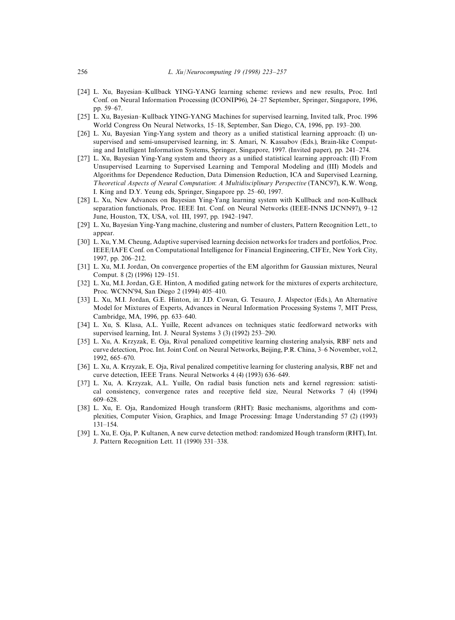- [24] L. Xu, Bayesian*—*Kullback YING-YANG learning scheme: reviews and new results, Proc. Intl Conf. on Neural Information Processing (ICONIP96), 24*—*27 September, Springer, Singapore, 1996, pp. 59*—*67.
- [25] L. Xu, Bayesian*—*Kullback YING-YANG Machines for supervised learning, Invited talk, Proc. 1996 World Congress On Neural Networks, 15*—*18, September, San Diego, CA, 1996, pp. 193*—*200.
- [26] L. Xu, Bayesian Ying-Yang system and theory as a unified statistical learning approach: (I) unsupervised and semi-unsupervised learning, in: S. Amari, N. Kassabov (Eds.), Brain-like Computing and Intelligent Information Systems, Springer, Singapore, 1997. (Invited paper), pp. 241*—*274.
- [27] L. Xu, Bayesian Ying-Yang system and theory as a unified statistical learning approach: (II) From Unsupervised Learning to Supervised Learning and Temporal Modeling and (III) Models and Algorithms for Dependence Reduction, Data Dimension Reduction, ICA and Supervised Learning, ¹*heoretical Aspects of Neural Computation*: *A Multidisciplinary Perspective* (TANC97), K.W. Wong, I. King and D.Y. Yeung eds, Springer, Singapore pp. 25*—*60, 1997.
- [28] L. Xu, New Advances on Bayesian Ying-Yang learning system with Kullback and non-Kullback separation functionals, Proc. IEEE Int. Conf. on Neural Networks (IEEE-INNS IJCNN97), 9*—*12 June, Houston, TX, USA, vol. III, 1997, pp. 1942*—*1947.
- [29] L. Xu, Bayesian Ying-Yang machine, clustering and number of clusters, Pattern Recognition Lett., to appear.
- [30] L. Xu, Y.M. Cheung, Adaptive supervised learning decision networks for traders and portfolios, Proc. IEEE/IAFE Conf. on Computational Intelligence for Financial Engineering, CIFEr, New York City, 1997, pp. 206*—*212.
- [31] L. Xu, M.I. Jordan, On convergence properties of the EM algorithm for Gaussian mixtures, Neural Comput. 8 (2) (1996) 129*—*151.
- [32] L. Xu, M.I. Jordan, G.E. Hinton, A modified gating network for the mixtures of experts architecture, Proc. WCNN'94, San Diego 2 (1994) 405*—*410.
- [33] L. Xu, M.I. Jordan, G.E. Hinton, in: J.D. Cowan, G. Tesauro, J. Alspector (Eds.), An Alternative Model for Mixtures of Experts, Advances in Neural Information Processing Systems 7, MIT Press, Cambridge, MA, 1996, pp. 633*—*640.
- [34] L. Xu, S. Klasa, A.L. Yuille, Recent advances on techniques static feedforward networks with supervised learning, Int. J. Neural Systems 3 (3) (1992) 253*—*290.
- [35] L. Xu, A. Krzyzak, E. Oja, Rival penalized competitive learning clustering analysis, RBF nets and curve detection, Proc. Int. Joint Conf. on Neural Networks, Beijing, P.R. China, 3*—*6 November, vol.2, 1992, 665*—*670.
- [36] L. Xu, A. Krzyzak, E. Oja, Rival penalized competitive learning for clustering analysis, RBF net and curve detection, IEEE Trans. Neural Networks 4 (4) (1993) 636*—*649.
- [37] L. Xu, A. Krzyzak, A.L. Yuille, On radial basis function nets and kernel regression: satistical consistency, convergence rates and receptive field size, Neural Networks 7 (4) (1994) 609*—*628.
- [38] L. Xu, E. Oja, Randomized Hough transform (RHT): Basic mechanisms, algorithms and complexities, Computer Vision, Graphics, and Image Processing: Image Understanding 57 (2) (1993) 131*—*154.
- [39] L. Xu, E. Oja, P. Kultanen, A new curve detection method: randomized Hough transform (RHT), Int. J. Pattern Recognition Lett. 11 (1990) 331*—*338.